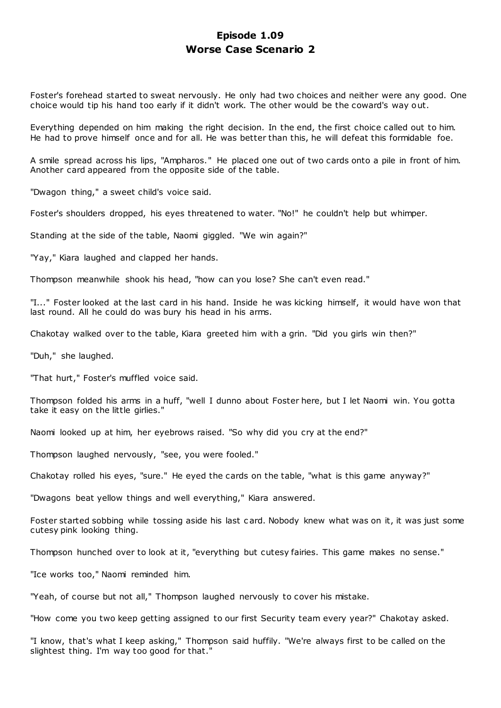# **Episode 1.09 Worse Case Scenario 2**

Foster's forehead started to sweat nervously. He only had two choices and neither were any good. One choice would tip his hand too early if it didn't work. The other would be the coward's way out.

Everything depended on him making the right decision. In the end, the first choice called out to him. He had to prove himself once and for all. He was better than this, he will defeat this formidable foe.

A smile spread across his lips, "Ampharos." He placed one out of two cards onto a pile in front of him. Another card appeared from the opposite side of the table.

"Dwagon thing," a sweet child's voice said.

Foster's shoulders dropped, his eyes threatened to water. "No!" he couldn't help but whimper.

Standing at the side of the table, Naomi giggled. "We win again?"

"Yay," Kiara laughed and clapped her hands.

Thompson meanwhile shook his head, "how can you lose? She can't even read."

"I..." Foster looked at the last card in his hand. Inside he was kicking himself, it would have won that last round. All he could do was bury his head in his arms.

Chakotay walked over to the table, Kiara greeted him with a grin. "Did you girls win then?"

"Duh," she laughed.

"That hurt," Foster's muffled voice said.

Thompson folded his arms in a huff, "well I dunno about Foster here, but I let Naomi win. You gotta take it easy on the little girlies."

Naomi looked up at him, her eyebrows raised. "So why did you cry at the end?"

Thompson laughed nervously, "see, you were fooled."

Chakotay rolled his eyes, "sure." He eyed the cards on the table, "what is this game anyway?"

"Dwagons beat yellow things and well everything," Kiara answered.

Foster started sobbing while tossing aside his last card. Nobody knew what was on it, it was just some cutesy pink looking thing.

Thompson hunched over to look at it, "everything but cutesy fairies. This game makes no sense."

"Ice works too," Naomi reminded him.

"Yeah, of course but not all," Thompson laughed nervously to cover his mistake.

"How come you two keep getting assigned to our first Security team every year?" Chakotay asked.

"I know, that's what I keep asking," Thompson said huffily. "We're always first to be called on the slightest thing. I'm way too good for that."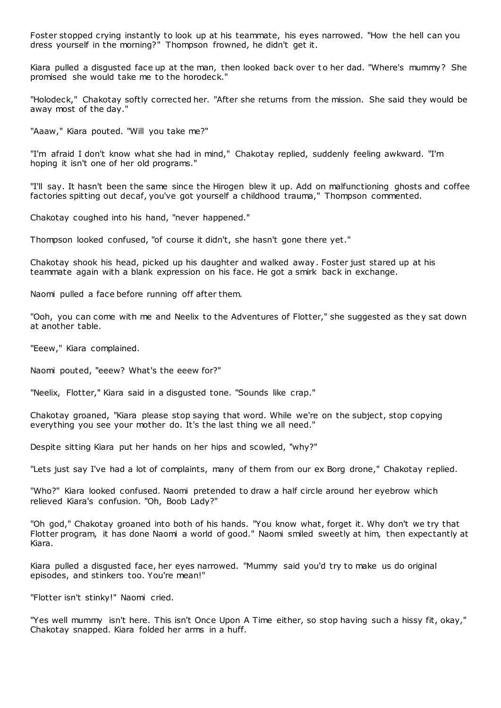Foster stopped crying instantly to look up at his teammate, his eyes narrowed. "How the hell can you dress yourself in the morning?" Thompson frowned, he didn't get it.

Kiara pulled a disgusted face up at the man, then looked back over to her dad. "Where's mummy? She promised she would take me to the horodeck."

"Holodeck," Chakotay softly corrected her. "After she returns from the mission. She said they would be away most of the day."

"Aaaw," Kiara pouted. "Will you take me?"

"I'm afraid I don't know what she had in mind," Chakotay replied, suddenly feeling awkward. "I'm hoping it isn't one of her old programs."

"I'll say. It hasn't been the same since the Hirogen blew it up. Add on malfunctioning ghosts and coffee factories spitting out decaf, you've got yourself a childhood trauma," Thompson commented.

Chakotay coughed into his hand, "never happened."

Thompson looked confused, "of course it didn't, she hasn't gone there yet."

Chakotay shook his head, picked up his daughter and walked away. Foster just stared up at his teammate again with a blank expression on his face. He got a smirk back in exchange.

Naomi pulled a face before running off after them.

"Ooh, you can come with me and Neelix to the Adventures of Flotter," she suggested as they sat down at another table.

"Eeew," Kiara complained.

Naomi pouted, "eeew? What's the eeew for?"

"Neelix, Flotter," Kiara said in a disgusted tone. "Sounds like crap."

Chakotay groaned, "Kiara please stop saying that word. While we're on the subject, stop copying everything you see your mother do. It's the last thing we all need."

Despite sitting Kiara put her hands on her hips and scowled, "why?"

"Lets just say I've had a lot of complaints, many of them from our ex Borg drone," Chakotay replied.

"Who?" Kiara looked confused. Naomi pretended to draw a half circle around her eyebrow which relieved Kiara's confusion. "Oh, Boob Lady?"

"Oh god," Chakotay groaned into both of his hands. "You know what, forget it. Why don't we try that Flotter program, it has done Naomi a world of good." Naomi smiled sweetly at him, then expectantly at Kiara.

Kiara pulled a disgusted face, her eyes narrowed. "Mummy said you'd try to make us do original episodes, and stinkers too. You're mean!"

"Flotter isn't stinky!" Naomi cried.

"Yes well mummy isn't here. This isn't Once Upon A Time either, so stop having such a hissy fit, okay," Chakotay snapped. Kiara folded her arms in a huff.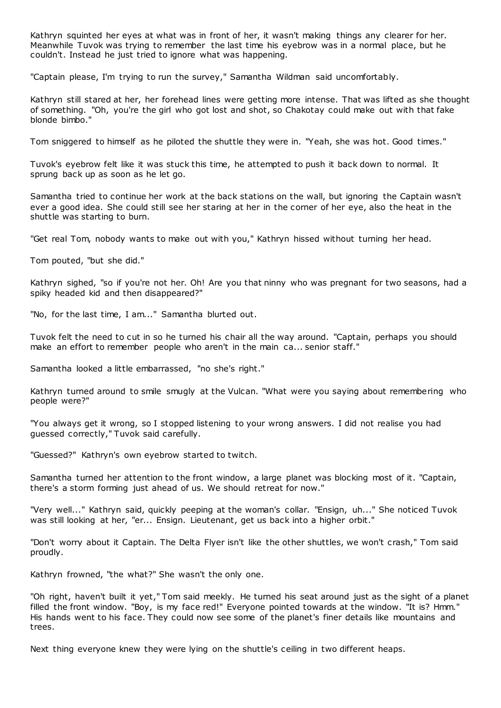Kathryn squinted her eyes at what was in front of her, it wasn't making things any clearer for her. Meanwhile Tuvok was trying to remember the last time his eyebrow was in a normal place, but he couldn't. Instead he just tried to ignore what was happening.

"Captain please, I'm trying to run the survey," Samantha Wildman said uncomfortably.

Kathryn still stared at her, her forehead lines were getting more intense. That was lifted as she thought of something. "Oh, you're the girl who got lost and shot, so Chakotay could make out with that fake blonde bimbo."

Tom sniggered to himself as he piloted the shuttle they were in. "Yeah, she was hot. Good times."

Tuvok's eyebrow felt like it was stuck this time, he attempted to push it back down to normal. It sprung back up as soon as he let go.

Samantha tried to continue her work at the back stations on the wall, but ignoring the Captain wasn't ever a good idea. She could still see her staring at her in the corner of her eye, also the heat in the shuttle was starting to burn.

"Get real Tom, nobody wants to make out with you," Kathryn hissed without turning her head.

Tom pouted, "but she did."

Kathryn sighed, "so if you're not her. Oh! Are you that ninny who was pregnant for two seasons, had a spiky headed kid and then disappeared?"

"No, for the last time, I am..." Samantha blurted out.

Tuvok felt the need to cut in so he turned his chair all the way around. "Captain, perhaps you should make an effort to remember people who aren't in the main ca... senior staff."

Samantha looked a little embarrassed, "no she's right."

Kathryn turned around to smile smugly at the Vulcan. "What were you saying about remembering who people were?"

"You always get it wrong, so I stopped listening to your wrong answers. I did not realise you had guessed correctly," Tuvok said carefully.

"Guessed?" Kathryn's own eyebrow started to twitch.

Samantha turned her attention to the front window, a large planet was blocking most of it. "Captain, there's a storm forming just ahead of us. We should retreat for now."

"Very well..." Kathryn said, quickly peeping at the woman's collar. "Ensign, uh..." She noticed Tuvok was still looking at her, "er... Ensign. Lieutenant, get us back into a higher orbit."

"Don't worry about it Captain. The Delta Flyer isn't like the other shuttles, we won't crash," Tom said proudly.

Kathryn frowned, "the what?" She wasn't the only one.

"Oh right, haven't built it yet," Tom said meekly. He turned his seat around just as the sight of a planet filled the front window. "Boy, is my face red!" Everyone pointed towards at the window. "It is? Hmm." His hands went to his face. They could now see some of the planet's finer details like mountains and trees.

Next thing everyone knew they were lying on the shuttle's ceiling in two different heaps.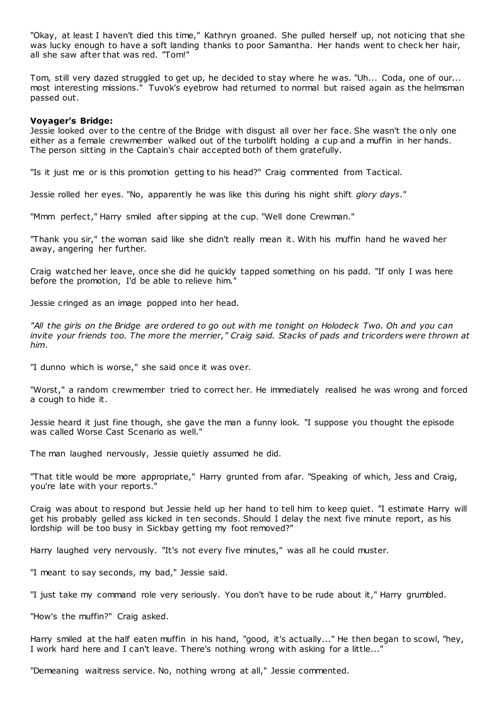"Okay, at least I haven't died this time," Kathryn groaned. She pulled herself up, not noticing that she was lucky enough to have a soft landing thanks to poor Samantha. Her hands went to check her hair, all she saw after that was red. "Tom!"

Tom, still very dazed struggled to get up, he decided to stay where he was. "Uh... Coda, one of our... most interesting missions." Tuvok's eyebrow had returned to normal but raised again as the helmsman passed out.

## **Voyager's Bridge:**

Jessie looked over to the centre of the Bridge with disgust all over her face. She wasn't the only one either as a female crewmember walked out of the turbolift holding a cup and a muffin in her hands. The person sitting in the Captain's chair accepted both of them gratefully.

"Is it just me or is this promotion getting to his head?" Craig commented from Tactical.

Jessie rolled her eyes. "No, apparently he was like this during his night shift *glory days*."

"Mmm perfect," Harry smiled after sipping at the cup. "Well done Crewman."

"Thank you sir," the woman said like she didn't really mean it. With his muffin hand he waved her away, angering her further.

Craig watched her leave, once she did he quickly tapped something on his padd. "If only I was here before the promotion, I'd be able to relieve him."

Jessie cringed as an image popped into her head.

*"All the girls on the Bridge are ordered to go out with me tonight on Holodeck Two. Oh and you can invite your friends too. The more the merrier," Craig said. Stacks of pads and tricorders were thrown at him.*

"I dunno which is worse," she said once it was over.

"Worst," a random crewmember tried to correct her. He immediately realised he was wrong and forced a cough to hide it.

Jessie heard it just fine though, she gave the man a funny look. "I suppose you thought the episode was called Worse Cast Scenario as well."

The man laughed nervously, Jessie quietly assumed he did.

"That title would be more appropriate," Harry grunted from afar. "Speaking of which, Jess and Craig, you're late with your reports."

Craig was about to respond but Jessie held up her hand to tell him to keep quiet. "I estimate Harry will get his probably gelled ass kicked in ten seconds. Should I delay the next five minute report, as his lordship will be too busy in Sickbay getting my foot removed?"

Harry laughed very nervously. "It's not every five minutes," was all he could muster.

"I meant to say seconds, my bad," Jessie said.

"I just take my command role very seriously. You don't have to be rude about it," Harry grumbled.

"How's the muffin?" Craig asked.

Harry smiled at the half eaten muffin in his hand, "good, it's actually..." He then began to scowl, "hey, I work hard here and I can't leave. There's nothing wrong with asking for a little..."

"Demeaning waitress service. No, nothing wrong at all," Jessie commented.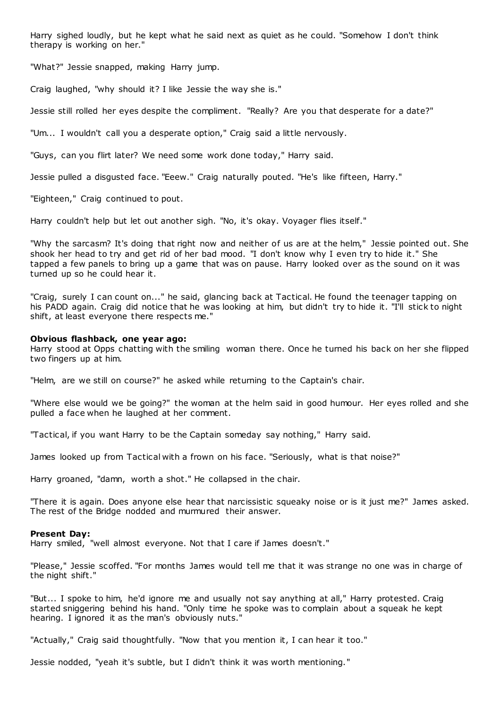Harry sighed loudly, but he kept what he said next as quiet as he could. "Somehow I don't think therapy is working on her."

"What?" Jessie snapped, making Harry jump.

Craig laughed, "why should it? I like Jessie the way she is."

Jessie still rolled her eyes despite the compliment. "Really? Are you that desperate for a date?"

"Um... I wouldn't call you a desperate option," Craig said a little nervously.

"Guys, can you flirt later? We need some work done today," Harry said.

Jessie pulled a disgusted face. "Eeew." Craig naturally pouted. "He's like fifteen, Harry."

"Eighteen," Craig continued to pout.

Harry couldn't help but let out another sigh. "No, it's okay. Voyager flies itself."

"Why the sarcasm? It's doing that right now and neither of us are at the helm," Jessie pointed out. She shook her head to try and get rid of her bad mood. "I don't know why I even try to hide it." She tapped a few panels to bring up a game that was on pause. Harry looked over as the sound on it was turned up so he could hear it.

"Craig, surely I can count on..." he said, glancing back at Tactical. He found the teenager tapping on his PADD again. Craig did notice that he was looking at him, but didn't try to hide it. "I'll stick to night shift, at least everyone there respects me."

#### **Obvious flashback, one year ago:**

Harry stood at Opps chatting with the smiling woman there. Once he turned his back on her she flipped two fingers up at him.

"Helm, are we still on course?" he asked while returning to the Captain's chair.

"Where else would we be going?" the woman at the helm said in good humour. Her eyes rolled and she pulled a face when he laughed at her comment.

"Tactical, if you want Harry to be the Captain someday say nothing," Harry said.

James looked up from Tactical with a frown on his face. "Seriously, what is that noise?"

Harry groaned, "damn, worth a shot." He collapsed in the chair.

"There it is again. Does anyone else hear that narcissistic squeaky noise or is it just me?" James asked. The rest of the Bridge nodded and murmured their answer.

#### **Present Day:**

Harry smiled, "well almost everyone. Not that I care if James doesn't."

"Please," Jessie scoffed. "For months James would tell me that it was strange no one was in charge of the night shift."

"But... I spoke to him, he'd ignore me and usually not say anything at all," Harry protested. Craig started sniggering behind his hand. "Only time he spoke was to complain about a squeak he kept hearing. I ignored it as the man's obviously nuts."

"Actually," Craig said thoughtfully. "Now that you mention it, I can hear it too."

Jessie nodded, "yeah it's subtle, but I didn't think it was worth mentioning."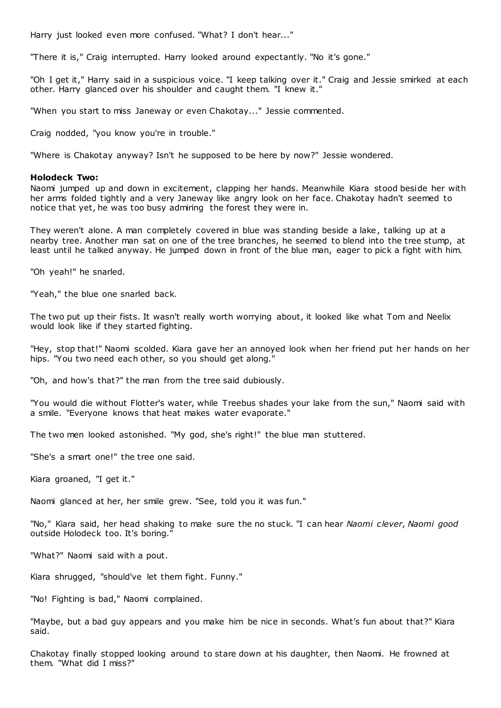Harry just looked even more confused. "What? I don't hear..."

"There it is," Craig interrupted. Harry looked around expectantly. "No it's gone."

"Oh I get it," Harry said in a suspicious voice. "I keep talking over it." Craig and Jessie smirked at each other. Harry glanced over his shoulder and caught them. "I knew it."

"When you start to miss Janeway or even Chakotay..." Jessie commented.

Craig nodded, "you know you're in trouble."

"Where is Chakotay anyway? Isn't he supposed to be here by now?" Jessie wondered.

## **Holodeck Two:**

Naomi jumped up and down in excitement, clapping her hands. Meanwhile Kiara stood beside her with her arms folded tightly and a very Janeway like angry look on her face. Chakotay hadn't seemed to notice that yet, he was too busy admiring the forest they were in.

They weren't alone. A man completely covered in blue was standing beside a lake, talking up at a nearby tree. Another man sat on one of the tree branches, he seemed to blend into the tree stump, at least until he talked anyway. He jumped down in front of the blue man, eager to pick a fight with him.

"Oh yeah!" he snarled.

"Yeah," the blue one snarled back.

The two put up their fists. It wasn't really worth worrying about, it looked like what Tom and Neelix would look like if they started fighting.

"Hey, stop that!" Naomi scolded. Kiara gave her an annoyed look when her friend put her hands on her hips. "You two need each other, so you should get along."

"Oh, and how's that?" the man from the tree said dubiously.

"You would die without Flotter's water, while Treebus shades your lake from the sun," Naomi said with a smile. "Everyone knows that heat makes water evaporate."

The two men looked astonished. "My god, she's right!" the blue man stuttered.

"She's a smart one!" the tree one said.

Kiara groaned, "I get it."

Naomi glanced at her, her smile grew. "See, told you it was fun."

"No," Kiara said, her head shaking to make sure the no stuck. "I can hear *Naomi clever, Naomi good* outside Holodeck too. It's boring."

"What?" Naomi said with a pout.

Kiara shrugged, "should've let them fight. Funny."

"No! Fighting is bad," Naomi complained.

"Maybe, but a bad guy appears and you make him be nice in seconds. What's fun about that?" Kiara said.

Chakotay finally stopped looking around to stare down at his daughter, then Naomi. He frowned at them. "What did I miss?"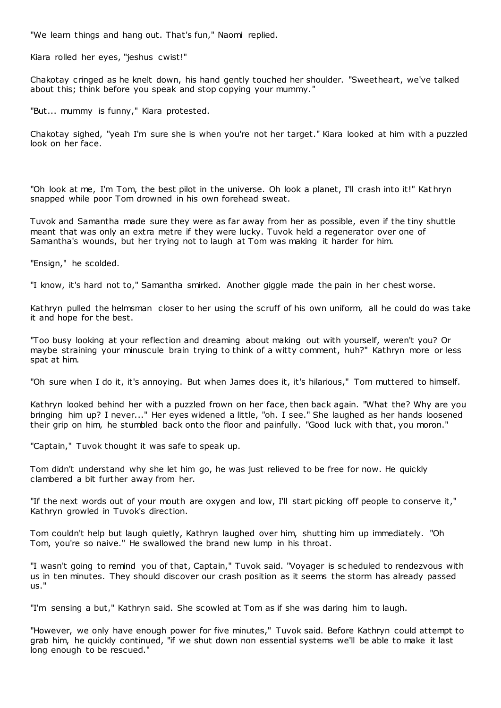"We learn things and hang out. That's fun," Naomi replied.

Kiara rolled her eyes, "jeshus cwist!"

Chakotay cringed as he knelt down, his hand gently touched her shoulder. "Sweetheart, we've talked about this; think before you speak and stop copying your mummy."

"But... mummy is funny," Kiara protested.

Chakotay sighed, "yeah I'm sure she is when you're not her target." Kiara looked at him with a puzzled look on her face.

"Oh look at me, I'm Tom, the best pilot in the universe. Oh look a planet, I'll crash into it!" Kat hryn snapped while poor Tom drowned in his own forehead sweat.

Tuvok and Samantha made sure they were as far away from her as possible, even if the tiny shuttle meant that was only an extra metre if they were lucky. Tuvok held a regenerator over one of Samantha's wounds, but her trying not to laugh at Tom was making it harder for him.

"Ensign," he scolded.

"I know, it's hard not to," Samantha smirked. Another giggle made the pain in her chest worse.

Kathryn pulled the helmsman closer to her using the scruff of his own uniform, all he could do was take it and hope for the best.

"Too busy looking at your reflection and dreaming about making out with yourself, weren't you? Or maybe straining your minuscule brain trying to think of a witty comment, huh?" Kathryn more or less spat at him.

"Oh sure when I do it, it's annoying. But when James does it, it's hilarious," Tom muttered to himself.

Kathryn looked behind her with a puzzled frown on her face, then back again. "What the? Why are you bringing him up? I never..." Her eyes widened a little, "oh. I see." She laughed as her hands loosened their grip on him, he stumbled back onto the floor and painfully. "Good luck with that, you moron."

"Captain," Tuvok thought it was safe to speak up.

Tom didn't understand why she let him go, he was just relieved to be free for now. He quickly clambered a bit further away from her.

"If the next words out of your mouth are oxygen and low, I'll start picking off people to conserve it," Kathryn growled in Tuvok's direction.

Tom couldn't help but laugh quietly, Kathryn laughed over him, shutting him up immediately. "Oh Tom, you're so naive." He swallowed the brand new lump in his throat.

"I wasn't going to remind you of that, Captain," Tuvok said. "Voyager is sc heduled to rendezvous with us in ten minutes. They should discover our crash position as it seems the storm has already passed us."

"I'm sensing a but," Kathryn said. She scowled at Tom as if she was daring him to laugh.

"However, we only have enough power for five minutes," Tuvok said. Before Kathryn could attempt to grab him, he quickly continued, "if we shut down non essential systems we'll be able to make it last long enough to be rescued."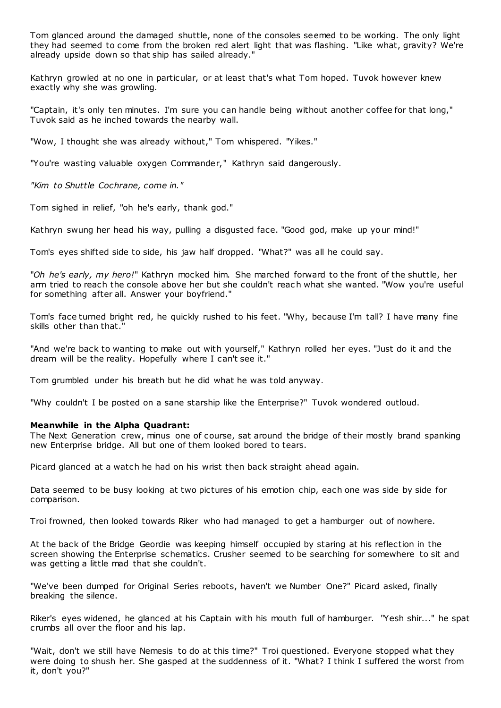Tom glanced around the damaged shuttle, none of the consoles seemed to be working. The only light they had seemed to come from the broken red alert light that was flashing. "Like what, gravity? We're already upside down so that ship has sailed already."

Kathryn growled at no one in particular, or at least that's what Tom hoped. Tuvok however knew exactly why she was growling.

"Captain, it's only ten minutes. I'm sure you can handle being without another coffee for that long," Tuvok said as he inched towards the nearby wall.

"Wow, I thought she was already without," Tom whispered. "Yikes."

"You're wasting valuable oxygen Commander," Kathryn said dangerously.

*"Kim to Shuttle Cochrane, come in."*

Tom sighed in relief, "oh he's early, thank god."

Kathryn swung her head his way, pulling a disgusted face. "Good god, make up your mind!"

Tom's eyes shifted side to side, his jaw half dropped. "What?" was all he could say.

"*Oh he's early, my hero!*" Kathryn mocked him. She marched forward to the front of the shuttle, her arm tried to reach the console above her but she couldn't reac h what she wanted. "Wow you're useful for something after all. Answer your boyfriend."

Tom's face turned bright red, he quickly rushed to his feet. "Why, because I'm tall? I have many fine skills other than that."

"And we're back to wanting to make out with yourself," Kathryn rolled her eyes. "Just do it and the dream will be the reality. Hopefully where I can't see it."

Tom grumbled under his breath but he did what he was told anyway.

"Why couldn't I be posted on a sane starship like the Enterprise?" Tuvok wondered outloud.

#### **Meanwhile in the Alpha Quadrant:**

The Next Generation crew, minus one of course, sat around the bridge of their mostly brand spanking new Enterprise bridge. All but one of them looked bored to tears.

Picard glanced at a watch he had on his wrist then back straight ahead again.

Data seemed to be busy looking at two pictures of his emotion chip, each one was side by side for comparison.

Troi frowned, then looked towards Riker who had managed to get a hamburger out of nowhere.

At the back of the Bridge Geordie was keeping himself occupied by staring at his reflection in the screen showing the Enterprise schematics. Crusher seemed to be searching for somewhere to sit and was getting a little mad that she couldn't.

"We've been dumped for Original Series reboots, haven't we Number One?" Picard asked, finally breaking the silence.

Riker's eyes widened, he glanced at his Captain with his mouth full of hamburger. "Yesh shir..." he spat crumbs all over the floor and his lap.

"Wait, don't we still have Nemesis to do at this time?" Troi questioned. Everyone stopped what they were doing to shush her. She gasped at the suddenness of it. "What? I think I suffered the worst from it, don't you?"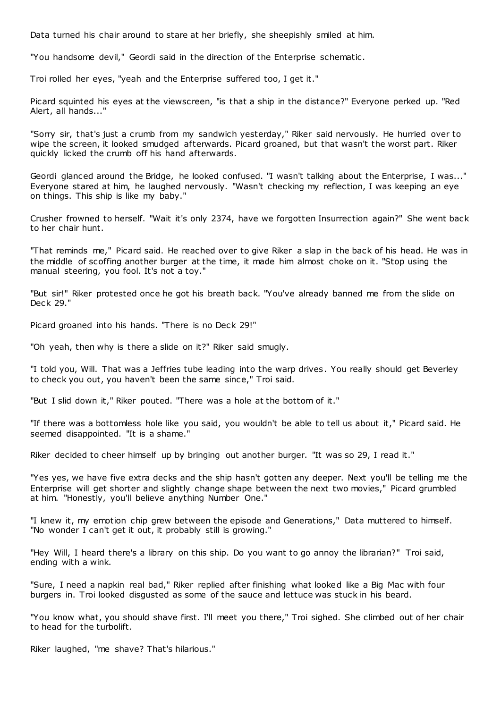Data turned his chair around to stare at her briefly, she sheepishly smiled at him.

"You handsome devil," Geordi said in the direction of the Enterprise schematic .

Troi rolled her eyes, "yeah and the Enterprise suffered too, I get it."

Picard squinted his eyes at the viewscreen, "is that a ship in the distance?" Everyone perked up. "Red Alert, all hands..."

"Sorry sir, that's just a crumb from my sandwich yesterday," Riker said nervously. He hurried over to wipe the screen, it looked smudged afterwards. Picard groaned, but that wasn't the worst part. Riker quickly licked the crumb off his hand afterwards.

Geordi glanced around the Bridge, he looked confused. "I wasn't talking about the Enterprise, I was..." Everyone stared at him, he laughed nervously. "Wasn't checking my reflection, I was keeping an eye on things. This ship is like my baby."

Crusher frowned to herself. "Wait it's only 2374, have we forgotten Insurrection again?" She went back to her chair hunt.

"That reminds me," Picard said. He reached over to give Riker a slap in the back of his head. He was in the middle of scoffing another burger at the time, it made him almost choke on it. "Stop using the manual steering, you fool. It's not a toy."

"But sir!" Riker protested once he got his breath back. "You've already banned me from the slide on Deck 29."

Picard groaned into his hands. "There is no Deck 29!"

"Oh yeah, then why is there a slide on it?" Riker said smugly.

"I told you, Will. That was a Jeffries tube leading into the warp drives. You really should get Beverley to check you out, you haven't been the same since," Troi said.

"But I slid down it," Riker pouted. "There was a hole at the bottom of it."

"If there was a bottomless hole like you said, you wouldn't be able to tell us about it," Picard said. He seemed disappointed. "It is a shame."

Riker decided to cheer himself up by bringing out another burger. "It was so 29, I read it."

"Yes yes, we have five extra decks and the ship hasn't gotten any deeper. Next you'll be telling me the Enterprise will get shorter and slightly change shape between the next two movies," Picard grumbled at him. "Honestly, you'll believe anything Number One."

"I knew it, my emotion chip grew between the episode and Generations," Data muttered to himself. "No wonder I can't get it out, it probably still is growing."

"Hey Will, I heard there's a library on this ship. Do you want to go annoy the librarian?" Troi said, ending with a wink.

"Sure, I need a napkin real bad," Riker replied after finishing what looked like a Big Mac with four burgers in. Troi looked disgusted as some of the sauce and lettuce was stuck in his beard.

"You know what, you should shave first. I'll meet you there," Troi sighed. She climbed out of her chair to head for the turbolift.

Riker laughed, "me shave? That's hilarious."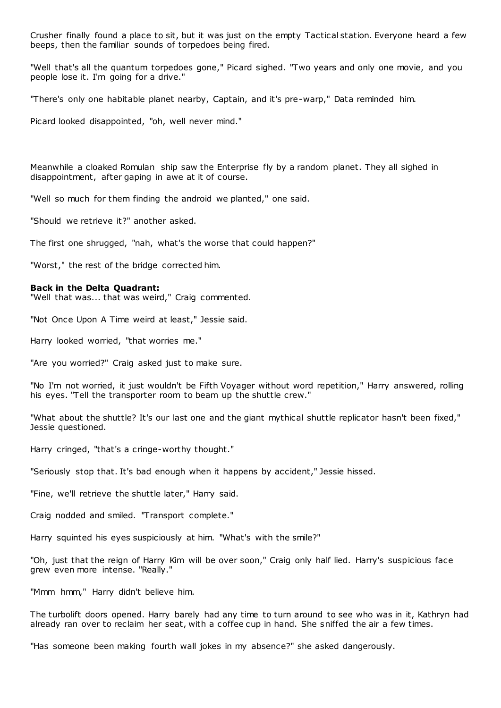Crusher finally found a place to sit, but it was just on the empty Tactical station. Everyone heard a few beeps, then the familiar sounds of torpedoes being fired.

"Well that's all the quantum torpedoes gone," Picard sighed. "Two years and only one movie, and you people lose it. I'm going for a drive."

"There's only one habitable planet nearby, Captain, and it's pre-warp," Data reminded him.

Picard looked disappointed, "oh, well never mind."

Meanwhile a cloaked Romulan ship saw the Enterprise fly by a random planet. They all sighed in disappointment, after gaping in awe at it of course.

"Well so much for them finding the android we planted," one said.

"Should we retrieve it?" another asked.

The first one shrugged, "nah, what's the worse that could happen?"

"Worst," the rest of the bridge corrected him.

#### **Back in the Delta Quadrant:**

"Well that was... that was weird," Craig commented.

"Not Once Upon A Time weird at least," Jessie said.

Harry looked worried, "that worries me."

"Are you worried?" Craig asked just to make sure.

"No I'm not worried, it just wouldn't be Fifth Voyager without word repetition," Harry answered, rolling his eyes. "Tell the transporter room to beam up the shuttle crew."

"What about the shuttle? It's our last one and the giant mythical shuttle replicator hasn't been fixed," Jessie questioned.

Harry cringed, "that's a cringe-worthy thought."

"Seriously stop that. It's bad enough when it happens by accident," Jessie hissed.

"Fine, we'll retrieve the shuttle later," Harry said.

Craig nodded and smiled. "Transport complete."

Harry squinted his eyes suspiciously at him. "What's with the smile?"

"Oh, just that the reign of Harry Kim will be over soon," Craig only half lied. Harry's suspicious face grew even more intense. "Really."

"Mmm hmm," Harry didn't believe him.

The turbolift doors opened. Harry barely had any time to turn around to see who was in it, Kathryn had already ran over to reclaim her seat, with a coffee cup in hand. She sniffed the air a few times.

"Has someone been making fourth wall jokes in my absence?" she asked dangerously.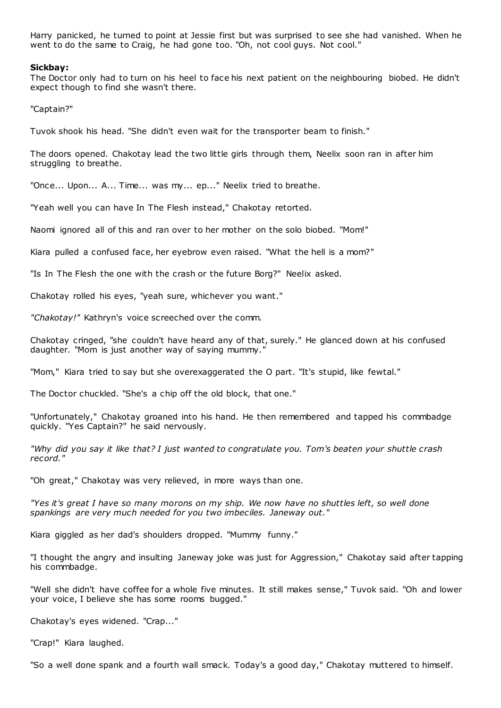Harry panicked, he turned to point at Jessie first but was surprised to see she had vanished. When he went to do the same to Craig, he had gone too. "Oh, not cool guys. Not cool."

## **Sickbay:**

The Doctor only had to turn on his heel to face his next patient on the neighbouring biobed. He didn't expect though to find she wasn't there.

"Captain?"

Tuvok shook his head. "She didn't even wait for the transporter beam to finish."

The doors opened. Chakotay lead the two little girls through them, Neelix soon ran in after him struggling to breathe.

"Once... Upon... A... Time... was my... ep..." Neelix tried to breathe.

"Yeah well you can have In The Flesh instead," Chakotay retorted.

Naomi ignored all of this and ran over to her mother on the solo biobed. "Mom!"

Kiara pulled a confused face, her eyebrow even raised. "What the hell is a mom?"

"Is In The Flesh the one with the crash or the future Borg?" Neelix asked.

Chakotay rolled his eyes, "yeah sure, whichever you want."

*"Chakotay!"* Kathryn's voice screeched over the comm.

Chakotay cringed, "she couldn't have heard any of that, surely." He glanced down at his confused daughter. "Mom is just another way of saying mummy."

"Mom," Kiara tried to say but she overexaggerated the O part. "It's stupid, like fewtal."

The Doctor chuckled. "She's a chip off the old block, that one."

"Unfortunately," Chakotay groaned into his hand. He then remembered and tapped his commbadge quickly. "Yes Captain?" he said nervously.

*"Why did you say it like that? I just wanted to congratulate you. Tom's beaten your shuttle crash record."*

"Oh great," Chakotay was very relieved, in more ways than one.

*"Yes it's great I have so many morons on my ship. We now have no shuttles left, so well done spankings are very much needed for you two imbeciles. Janeway out."*

Kiara giggled as her dad's shoulders dropped. "Mummy funny."

"I thought the angry and insulting Janeway joke was just for Aggression," Chakotay said after tapping his commbadge.

"Well she didn't have coffee for a whole five minutes. It still makes sense," Tuvok said. "Oh and lower your voice, I believe she has some rooms bugged."

Chakotay's eyes widened. "Crap..."

"Crap!" Kiara laughed.

"So a well done spank and a fourth wall smack. Today's a good day," Chakotay muttered to himself.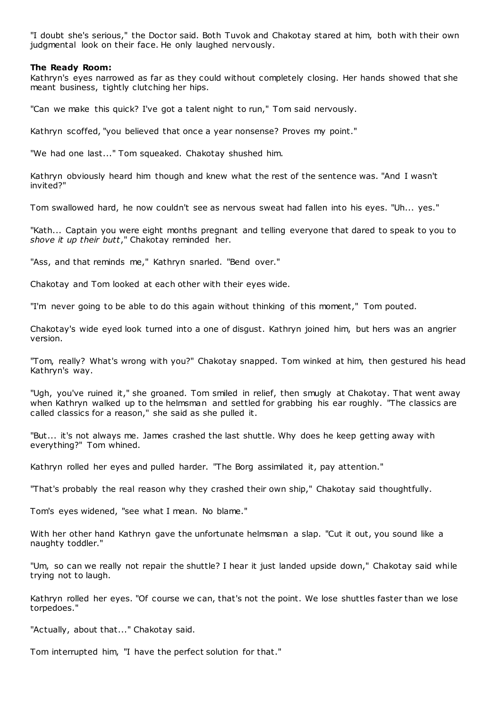"I doubt she's serious," the Doctor said. Both Tuvok and Chakotay stared at him, both with their own judgmental look on their face. He only laughed nervously.

## **The Ready Room:**

Kathryn's eyes narrowed as far as they could without completely closing. Her hands showed that she meant business, tightly clutching her hips.

"Can we make this quick? I've got a talent night to run," Tom said nervously.

Kathryn scoffed, "you believed that once a year nonsense? Proves my point."

"We had one last..." Tom squeaked. Chakotay shushed him.

Kathryn obviously heard him though and knew what the rest of the sentence was. "And I wasn't invited?"

Tom swallowed hard, he now couldn't see as nervous sweat had fallen into his eyes. "Uh... yes."

"Kath... Captain you were eight months pregnant and telling everyone that dared to speak to you to *shove it up their butt*," Chakotay reminded her.

"Ass, and that reminds me," Kathryn snarled. "Bend over."

Chakotay and Tom looked at each other with their eyes wide.

"I'm never going to be able to do this again without thinking of this moment," Tom pouted.

Chakotay's wide eyed look turned into a one of disgust. Kathryn joined him, but hers was an angrier version.

"Tom, really? What's wrong with you?" Chakotay snapped. Tom winked at him, then gestured his head Kathryn's way.

"Ugh, you've ruined it," she groaned. Tom smiled in relief, then smugly at Chakotay. That went away when Kathryn walked up to the helmsman and settled for grabbing his ear roughly. "The classics are called classics for a reason," she said as she pulled it.

"But... it's not always me. James crashed the last shuttle. Why does he keep getting away with everything?" Tom whined.

Kathryn rolled her eyes and pulled harder. "The Borg assimilated it, pay attention."

"That's probably the real reason why they crashed their own ship," Chakotay said thoughtfully.

Tom's eyes widened, "see what I mean. No blame."

With her other hand Kathryn gave the unfortunate helmsman a slap. "Cut it out, you sound like a naughty toddler."

"Um, so can we really not repair the shuttle? I hear it just landed upside down," Chakotay said while trying not to laugh.

Kathryn rolled her eyes. "Of course we can, that's not the point. We lose shuttles faster than we lose torpedoes."

"Actually, about that..." Chakotay said.

Tom interrupted him, "I have the perfect solution for that."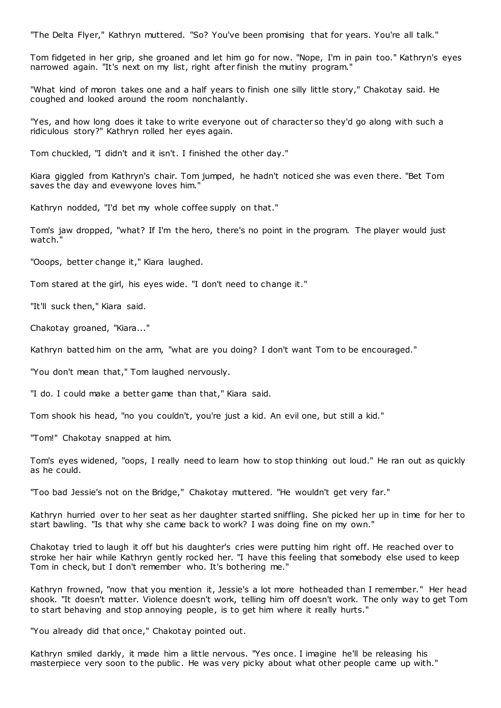"The Delta Flyer," Kathryn muttered. "So? You've been promising that for years. You're all talk."

Tom fidgeted in her grip, she groaned and let him go for now. "Nope, I'm in pain too." Kathryn's eyes narrowed again. "It's next on my list, right after finish the mutiny program."

"What kind of moron takes one and a half years to finish one silly little story," Chakotay said. He coughed and looked around the room nonchalantly.

"Yes, and how long does it take to write everyone out of character so they'd go along with such a ridiculous story?" Kathryn rolled her eyes again.

Tom chuckled, "I didn't and it isn't. I finished the other day."

Kiara giggled from Kathryn's chair. Tom jumped, he hadn't noticed she was even there. "Bet Tom saves the day and evewyone loves him."

Kathryn nodded, "I'd bet my whole coffee supply on that."

Tom's jaw dropped, "what? If I'm the hero, there's no point in the program. The player would just watch."

"Ooops, better change it," Kiara laughed.

Tom stared at the girl, his eyes wide. "I don't need to change it."

"It'll suck then," Kiara said.

Chakotay groaned, "Kiara..."

Kathryn batted him on the arm, "what are you doing? I don't want Tom to be encouraged."

"You don't mean that," Tom laughed nervously.

"I do. I could make a better game than that," Kiara said.

Tom shook his head, "no you couldn't, you're just a kid. An evil one, but still a kid."

"Tom!" Chakotay snapped at him.

Tom's eyes widened, "oops, I really need to learn how to stop thinking out loud." He ran out as quickly as he could.

"Too bad Jessie's not on the Bridge," Chakotay muttered. "He wouldn't get very far."

Kathryn hurried over to her seat as her daughter started sniffling. She picked her up in time for her to start bawling. "Is that why she came back to work? I was doing fine on my own."

Chakotay tried to laugh it off but his daughter's cries were putting him right off. He reached over to stroke her hair while Kathryn gently rocked her. "I have this feeling that somebody else used to keep Tom in check, but I don't remember who. It's bothering me."

Kathryn frowned, "now that you mention it, Jessie's a lot more hotheaded than I remember." Her head shook. "It doesn't matter. Violence doesn't work, telling him off doesn't work. The only way to get Tom to start behaving and stop annoying people, is to get him where it really hurts."

"You already did that once," Chakotay pointed out.

Kathryn smiled darkly, it made him a little nervous. "Yes once. I imagine he'll be releasing his masterpiece very soon to the public. He was very picky about what other people came up with."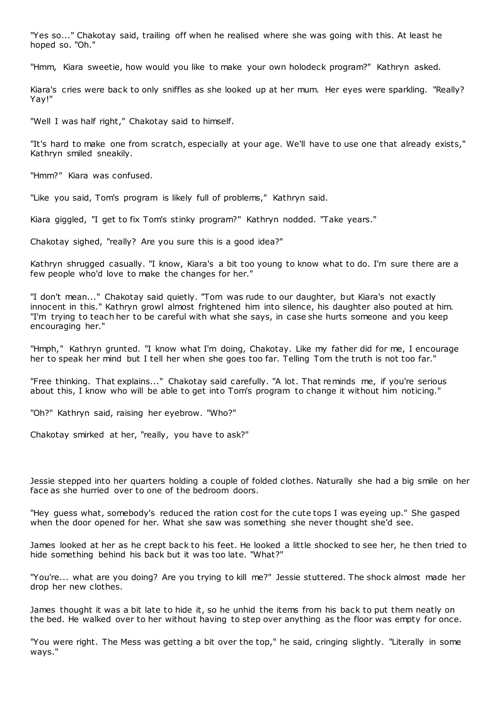"Yes so..." Chakotay said, trailing off when he realised where she was going with this. At least he hoped so. "Oh."

"Hmm, Kiara sweetie, how would you like to make your own holodeck program?" Kathryn asked.

Kiara's cries were back to only sniffles as she looked up at her mum. Her eyes were sparkling. "Really? Yay!"

"Well I was half right," Chakotay said to himself.

"It's hard to make one from scratch, especially at your age. We'll have to use one that already exists," Kathryn smiled sneakily.

"Hmm?" Kiara was confused.

"Like you said, Tom's program is likely full of problems," Kathryn said.

Kiara giggled, "I get to fix Tom's stinky program?" Kathryn nodded. "Take years."

Chakotay sighed, "really? Are you sure this is a good idea?"

Kathryn shrugged casually. "I know, Kiara's a bit too young to know what to do. I'm sure there are a few people who'd love to make the changes for her."

"I don't mean..." Chakotay said quietly. "Tom was rude to our daughter, but Kiara's not exactly innocent in this." Kathryn growl almost frightened him into silence, his daughter also pouted at him. "I'm trying to teach her to be careful with what she says, in case she hurts someone and you keep encouraging her."

"Hmph," Kathryn grunted. "I know what I'm doing, Chakotay. Like my father did for me, I encourage her to speak her mind but I tell her when she goes too far. Telling Tom the truth is not too far."

"Free thinking. That explains..." Chakotay said carefully. "A lot. That reminds me, if you're serious about this, I know who will be able to get into Tom's program to change it without him noticing."

"Oh?" Kathryn said, raising her eyebrow. "Who?"

Chakotay smirked at her, "really, you have to ask?"

Jessie stepped into her quarters holding a couple of folded clothes. Naturally she had a big smile on her face as she hurried over to one of the bedroom doors.

"Hey guess what, somebody's reduced the ration cost for the cute tops I was eyeing up." She gasped when the door opened for her. What she saw was something she never thought she'd see.

James looked at her as he crept back to his feet. He looked a little shocked to see her, he then tried to hide something behind his back but it was too late. "What?"

"You're... what are you doing? Are you trying to kill me?" Jessie stuttered. The shock almost made her drop her new clothes.

James thought it was a bit late to hide it, so he unhid the items from his back to put them neatly on the bed. He walked over to her without having to step over anything as the floor was empty for once.

"You were right. The Mess was getting a bit over the top," he said, cringing slightly. "Literally in some ways."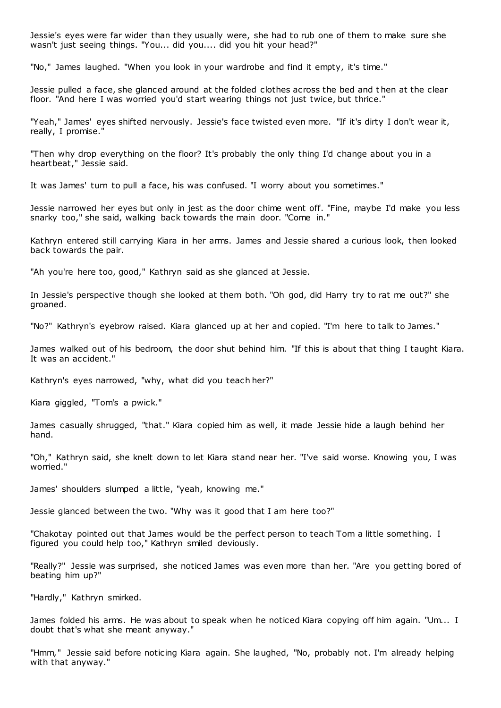Jessie's eyes were far wider than they usually were, she had to rub one of them to make sure she wasn't just seeing things. "You... did you.... did you hit your head?"

"No," James laughed. "When you look in your wardrobe and find it empty, it's time."

Jessie pulled a face, she glanced around at the folded clothes across the bed and t hen at the clear floor. "And here I was worried you'd start wearing things not just twice, but thrice."

"Yeah," James' eyes shifted nervously. Jessie's face twisted even more. "If it's dirty I don't wear it, really, I promise."

"Then why drop everything on the floor? It's probably the only thing I'd change about you in a heartbeat," Jessie said.

It was James' turn to pull a face, his was confused. "I worry about you sometimes."

Jessie narrowed her eyes but only in jest as the door chime went off. "Fine, maybe I'd make you less snarky too," she said, walking back towards the main door. "Come in."

Kathryn entered still carrying Kiara in her arms. James and Jessie shared a curious look, then looked back towards the pair.

"Ah you're here too, good," Kathryn said as she glanced at Jessie.

In Jessie's perspective though she looked at them both. "Oh god, did Harry try to rat me out?" she groaned.

"No?" Kathryn's eyebrow raised. Kiara glanced up at her and copied. "I'm here to talk to James."

James walked out of his bedroom, the door shut behind him. "If this is about that thing I taught Kiara. It was an accident."

Kathryn's eyes narrowed, "why, what did you teach her?"

Kiara giggled, "Tom's a pwick."

James casually shrugged, "that." Kiara copied him as well, it made Jessie hide a laugh behind her hand.

"Oh," Kathryn said, she knelt down to let Kiara stand near her. "I've said worse. Knowing you, I was worried."

James' shoulders slumped a little, "yeah, knowing me."

Jessie glanced between the two. "Why was it good that I am here too?"

"Chakotay pointed out that James would be the perfect person to teach Tom a little something. I figured you could help too," Kathryn smiled deviously.

"Really?" Jessie was surprised, she noticed James was even more than her. "Are you getting bored of beating him up?"

"Hardly," Kathryn smirked.

James folded his arms. He was about to speak when he noticed Kiara copying off him again. "Um... I doubt that's what she meant anyway."

"Hmm," Jessie said before noticing Kiara again. She laughed, "No, probably not. I'm already helping with that anyway."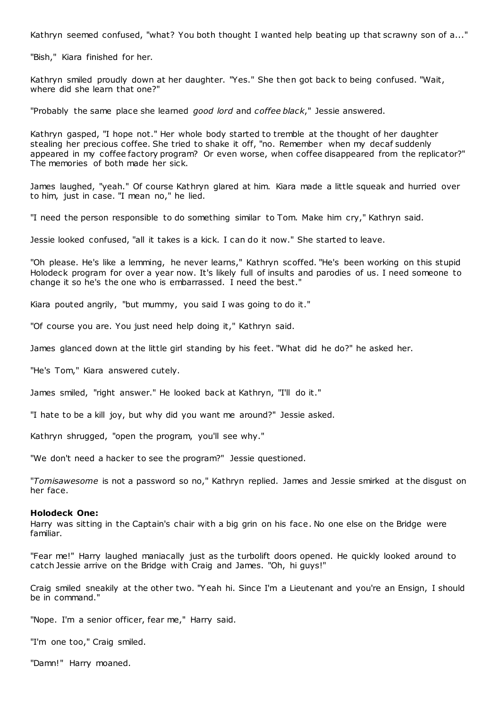Kathryn seemed confused, "what? You both thought I wanted help beating up that scrawny son of a..."

"Bish," Kiara finished for her.

Kathryn smiled proudly down at her daughter. "Yes." She then got back to being confused. "Wait, where did she learn that one?"

"Probably the same place she learned *good lord* and *coffee black*," Jessie answered.

Kathryn gasped, "I hope not." Her whole body started to tremble at the thought of her daughter stealing her precious coffee. She tried to shake it off, "no. Remember when my decaf suddenly appeared in my coffee factory program? Or even worse, when coffee disappeared from the replicator?" The memories of both made her sick.

James laughed, "yeah." Of course Kathryn glared at him. Kiara made a little squeak and hurried over to him, just in case. "I mean no," he lied.

"I need the person responsible to do something similar to Tom. Make him cry," Kathryn said.

Jessie looked confused, "all it takes is a kick. I can do it now." She started to leave.

"Oh please. He's like a lemming, he never learns," Kathryn scoffed. "He's been working on this stupid Holodeck program for over a year now. It's likely full of insults and parodies of us. I need someone to change it so he's the one who is embarrassed. I need the best."

Kiara pouted angrily, "but mummy, you said I was going to do it."

"Of course you are. You just need help doing it," Kathryn said.

James glanced down at the little girl standing by his feet. "What did he do?" he asked her.

"He's Tom," Kiara answered cutely.

James smiled, "right answer." He looked back at Kathryn, "I'll do it."

"I hate to be a kill joy, but why did you want me around?" Jessie asked.

Kathryn shrugged, "open the program, you'll see why."

"We don't need a hacker to see the program?" Jessie questioned.

"*Tomisawesome* is not a password so no," Kathryn replied. James and Jessie smirked at the disgust on her face.

## **Holodeck One:**

Harry was sitting in the Captain's chair with a big grin on his face. No one else on the Bridge were familiar.

"Fear me!" Harry laughed maniacally just as the turbolift doors opened. He quickly looked around to catch Jessie arrive on the Bridge with Craig and James. "Oh, hi guys!"

Craig smiled sneakily at the other two. "Yeah hi. Since I'm a Lieutenant and you're an Ensign, I should be in command."

"Nope. I'm a senior officer, fear me," Harry said.

"I'm one too," Craig smiled.

"Damn!" Harry moaned.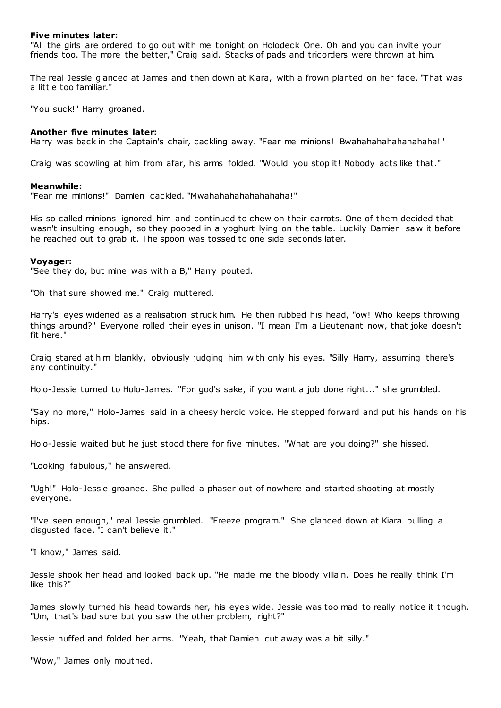## **Five minutes later:**

"All the girls are ordered to go out with me tonight on Holodeck One. Oh and you can invite your friends too. The more the better," Craig said. Stacks of pads and tricorders were thrown at him.

The real Jessie glanced at James and then down at Kiara, with a frown planted on her face. "That was a little too familiar."

"You suck!" Harry groaned.

## **Another five minutes later:**

Harry was back in the Captain's chair, cackling away. "Fear me minions! Bwahahahahahahahaha!"

Craig was scowling at him from afar, his arms folded. "Would you stop it! Nobody acts like that."

## **Meanwhile:**

"Fear me minions!" Damien cackled. "Mwahahahahahahahaha!"

His so called minions ignored him and continued to chew on their carrots. One of them decided that wasn't insulting enough, so they pooped in a yoghurt lying on the table. Luckily Damien saw it before he reached out to grab it. The spoon was tossed to one side seconds later.

## **Voyager:**

"See they do, but mine was with a B," Harry pouted.

"Oh that sure showed me." Craig muttered.

Harry's eyes widened as a realisation struck him. He then rubbed his head, "ow! Who keeps throwing things around?" Everyone rolled their eyes in unison. "I mean I'm a Lieutenant now, that joke doesn't fit here."

Craig stared at him blankly, obviously judging him with only his eyes. "Silly Harry, assuming there's any continuity."

Holo-Jessie turned to Holo-James. "For god's sake, if you want a job done right..." she grumbled.

"Say no more," Holo-James said in a cheesy heroic voice. He stepped forward and put his hands on his hips.

Holo-Jessie waited but he just stood there for five minutes. "What are you doing?" she hissed.

"Looking fabulous," he answered.

"Ugh!" Holo-Jessie groaned. She pulled a phaser out of nowhere and started shooting at mostly everyone.

"I've seen enough," real Jessie grumbled. "Freeze program." She glanced down at Kiara pulling a disgusted face. "I can't believe it."

"I know," James said.

Jessie shook her head and looked back up. "He made me the bloody villain. Does he really think I'm like this?"

James slowly turned his head towards her, his eyes wide. Jessie was too mad to really notice it though. "Um, that's bad sure but you saw the other problem, right?"

Jessie huffed and folded her arms. "Yeah, that Damien cut away was a bit silly."

"Wow," James only mouthed.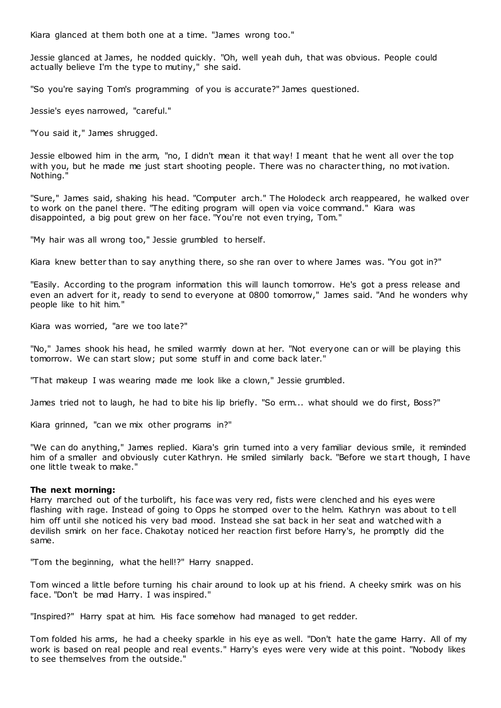Kiara glanced at them both one at a time. "James wrong too."

Jessie glanced at James, he nodded quickly. "Oh, well yeah duh, that was obvious. People could actually believe I'm the type to mutiny," she said.

"So you're saying Tom's programming of you is accurate?" James questioned.

Jessie's eyes narrowed, "careful."

"You said it," James shrugged.

Jessie elbowed him in the arm, "no, I didn't mean it that way! I meant that he went all over the top with you, but he made me just start shooting people. There was no character thing, no motivation. Nothing."

"Sure," James said, shaking his head. "Computer arch." The Holodeck arch reappeared, he walked over to work on the panel there. "The editing program will open via voice command." Kiara was disappointed, a big pout grew on her face. "You're not even trying, Tom."

"My hair was all wrong too," Jessie grumbled to herself.

Kiara knew better than to say anything there, so she ran over to where James was. "You got in?"

"Easily. According to the program information this will launch tomorrow. He's got a press release and even an advert for it, ready to send to everyone at 0800 tomorrow," James said. "And he wonders why people like to hit him."

Kiara was worried, "are we too late?"

"No," James shook his head, he smiled warmly down at her. "Not everyone can or will be playing this tomorrow. We can start slow; put some stuff in and come back later."

"That makeup I was wearing made me look like a clown," Jessie grumbled.

James tried not to laugh, he had to bite his lip briefly. "So erm... what should we do first, Boss?"

Kiara grinned, "can we mix other programs in?"

"We can do anything," James replied. Kiara's grin turned into a very familiar devious smile, it reminded him of a smaller and obviously cuter Kathryn. He smiled similarly back. "Before we start though, I have one little tweak to make."

#### **The next morning:**

Harry marched out of the turbolift, his face was very red, fists were clenched and his eyes were flashing with rage. Instead of going to Opps he stomped over to the helm. Kathryn was about to t ell him off until she noticed his very bad mood. Instead she sat back in her seat and watched with a devilish smirk on her face. Chakotay noticed her reaction first before Harry's, he promptly did the same.

"Tom the beginning, what the hell!?" Harry snapped.

Tom winced a little before turning his chair around to look up at his friend. A cheeky smirk was on his face. "Don't be mad Harry. I was inspired."

"Inspired?" Harry spat at him. His face somehow had managed to get redder.

Tom folded his arms, he had a cheeky sparkle in his eye as well. "Don't hate the game Harry. All of my work is based on real people and real events." Harry's eyes were very wide at this point. "Nobody likes to see themselves from the outside."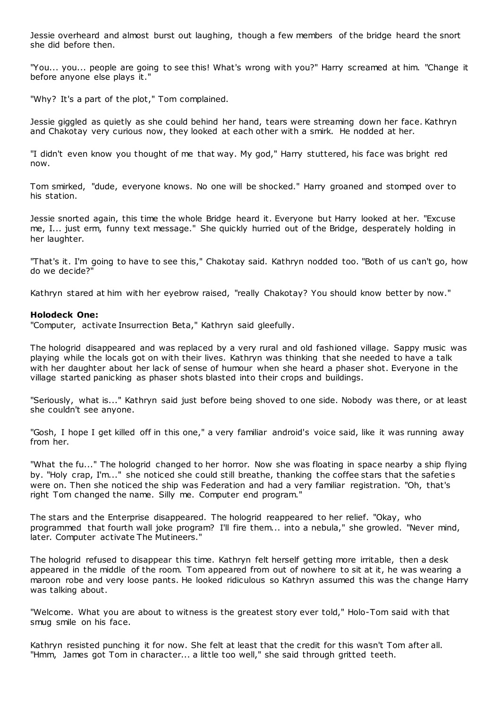Jessie overheard and almost burst out laughing, though a few members of the bridge heard the snort she did before then.

"You... you... people are going to see this! What's wrong with you?" Harry screamed at him. "Change it before anyone else plays it."

"Why? It's a part of the plot," Tom complained.

Jessie giggled as quietly as she could behind her hand, tears were streaming down her face. Kathryn and Chakotay very curious now, they looked at each other with a smirk. He nodded at her.

"I didn't even know you thought of me that way. My god," Harry stuttered, his face was bright red now.

Tom smirked, "dude, everyone knows. No one will be shocked." Harry groaned and stomped over to his station.

Jessie snorted again, this time the whole Bridge heard it. Everyone but Harry looked at her. "Excuse me, I... just erm, funny text message." She quickly hurried out of the Bridge, desperately holding in her laughter.

"That's it. I'm going to have to see this," Chakotay said. Kathryn nodded too. "Both of us can't go, how do we decide?"

Kathryn stared at him with her eyebrow raised, "really Chakotay? You should know better by now."

## **Holodeck One:**

"Computer, activate Insurrection Beta," Kathryn said gleefully.

The hologrid disappeared and was replaced by a very rural and old fashioned village. Sappy music was playing while the locals got on with their lives. Kathryn was thinking that she needed to have a talk with her daughter about her lack of sense of humour when she heard a phaser shot. Everyone in the village started panicking as phaser shots blasted into their crops and buildings.

"Seriously, what is..." Kathryn said just before being shoved to one side. Nobody was there, or at least she couldn't see anyone.

"Gosh, I hope I get killed off in this one," a very familiar android's voice said, like it was running away from her.

"What the fu..." The hologrid changed to her horror. Now she was floating in space nearby a ship flying by. "Holy crap, I'm..." she noticed she could still breathe, thanking the coffee stars that the safetie s were on. Then she noticed the ship was Federation and had a very familiar registration. "Oh, that's right Tom changed the name. Silly me. Computer end program."

The stars and the Enterprise disappeared. The hologrid reappeared to her relief. "Okay, who programmed that fourth wall joke program? I'll fire them... into a nebula," she growled. "Never mind, later. Computer activate The Mutineers."

The hologrid refused to disappear this time. Kathryn felt herself getting more irritable, then a desk appeared in the middle of the room. Tom appeared from out of nowhere to sit at it, he was wearing a maroon robe and very loose pants. He looked ridiculous so Kathryn assumed this was the change Harry was talking about.

"Welcome. What you are about to witness is the greatest story ever told," Holo-Tom said with that smug smile on his face.

Kathryn resisted punching it for now. She felt at least that the credit for this wasn't Tom after all. "Hmm, James got Tom in character... a little too well," she said through gritted teeth.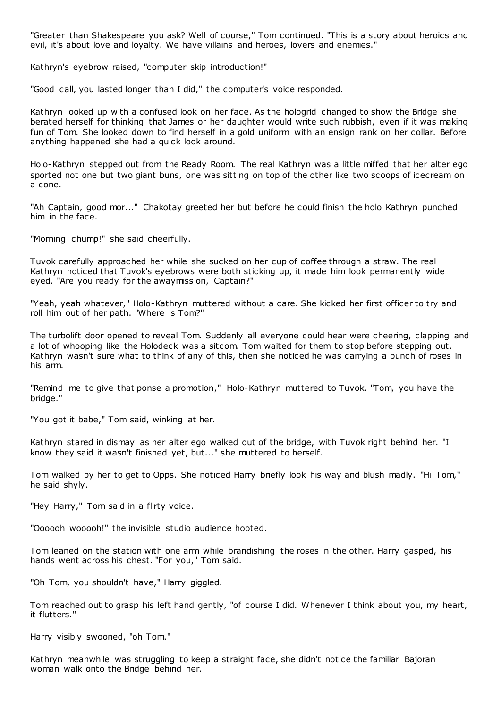"Greater than Shakespeare you ask? Well of course," Tom continued. "This is a story about heroics and evil, it's about love and loyalty. We have villains and heroes, lovers and enemies."

Kathryn's eyebrow raised, "computer skip introduction!"

"Good call, you lasted longer than I did," the computer's voice responded.

Kathryn looked up with a confused look on her face. As the hologrid changed to show the Bridge she berated herself for thinking that James or her daughter would write such rubbish, even if it was making fun of Tom. She looked down to find herself in a gold uniform with an ensign rank on her collar. Before anything happened she had a quick look around.

Holo-Kathryn stepped out from the Ready Room. The real Kathryn was a little miffed that her alter ego sported not one but two giant buns, one was sitting on top of the other like two scoops of icecream on a cone.

"Ah Captain, good mor..." Chakotay greeted her but before he could finish the holo Kathryn punched him in the face.

"Morning chump!" she said cheerfully.

Tuvok carefully approached her while she sucked on her cup of coffee through a straw. The real Kathryn noticed that Tuvok's eyebrows were both sticking up, it made him look permanently wide eyed. "Are you ready for the awaymission, Captain?"

"Yeah, yeah whatever," Holo-Kathryn muttered without a care. She kicked her first officer to try and roll him out of her path. "Where is Tom?"

The turbolift door opened to reveal Tom. Suddenly all everyone could hear were cheering, clapping and a lot of whooping like the Holodeck was a sitcom. Tom waited for them to stop before stepping out. Kathryn wasn't sure what to think of any of this, then she noticed he was carrying a bunch of roses in his arm.

"Remind me to give that ponse a promotion," Holo-Kathryn muttered to Tuvok. "Tom, you have the bridge."

"You got it babe," Tom said, winking at her.

Kathryn stared in dismay as her alter ego walked out of the bridge, with Tuvok right behind her. "I know they said it wasn't finished yet, but..." she muttered to herself.

Tom walked by her to get to Opps. She noticed Harry briefly look his way and blush madly. "Hi Tom," he said shyly.

"Hey Harry," Tom said in a flirty voice.

"Oooooh wooooh!" the invisible studio audience hooted.

Tom leaned on the station with one arm while brandishing the roses in the other. Harry gasped, his hands went across his chest. "For you," Tom said.

"Oh Tom, you shouldn't have," Harry giggled.

Tom reached out to grasp his left hand gently, "of course I did. Whenever I think about you, my heart, it flutters."

Harry visibly swooned, "oh Tom."

Kathryn meanwhile was struggling to keep a straight face, she didn't notice the familiar Bajoran woman walk onto the Bridge behind her.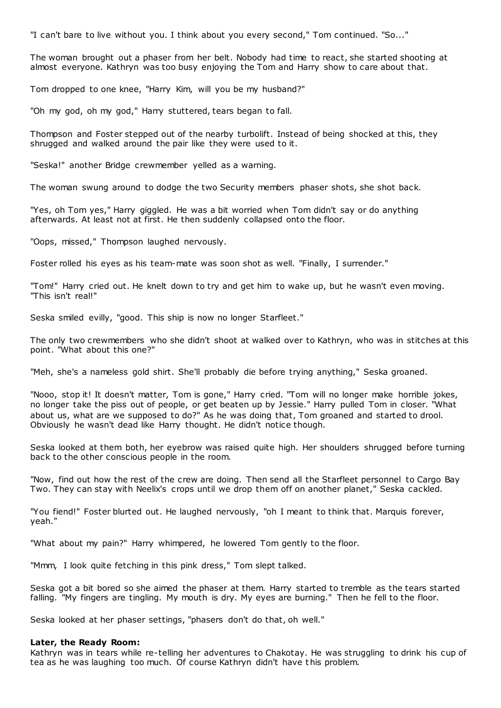"I can't bare to live without you. I think about you every second," Tom continued. "So..."

The woman brought out a phaser from her belt. Nobody had time to react, she started shooting at almost everyone. Kathryn was too busy enjoying the Tom and Harry show to care about that.

Tom dropped to one knee, "Harry Kim, will you be my husband?"

"Oh my god, oh my god," Harry stuttered, tears began to fall.

Thompson and Foster stepped out of the nearby turbolift. Instead of being shocked at this, they shrugged and walked around the pair like they were used to it.

"Seska!" another Bridge crewmember yelled as a warning.

The woman swung around to dodge the two Security members phaser shots, she shot back.

"Yes, oh Tom yes," Harry giggled. He was a bit worried when Tom didn't say or do anything afterwards. At least not at first. He then suddenly collapsed onto the floor.

"Oops, missed," Thompson laughed nervously.

Foster rolled his eyes as his team-mate was soon shot as well. "Finally, I surrender."

"Tom!" Harry cried out. He knelt down to try and get him to wake up, but he wasn't even moving. "This isn't real!"

Seska smiled evilly, "good. This ship is now no longer Starfleet."

The only two crewmembers who she didn't shoot at walked over to Kathryn, who was in stitches at this point. "What about this one?"

"Meh, she's a nameless gold shirt. She'll probably die before trying anything," Seska groaned.

"Nooo, stop it! It doesn't matter, Tom is gone," Harry cried. "Tom will no longer make horrible jokes, no longer take the piss out of people, or get beaten up by Jessie." Harry pulled Tom in closer. "What about us, what are we supposed to do?" As he was doing that, Tom groaned and started to drool. Obviously he wasn't dead like Harry thought. He didn't notice though.

Seska looked at them both, her eyebrow was raised quite high. Her shoulders shrugged before turning back to the other conscious people in the room.

"Now, find out how the rest of the crew are doing. Then send all the Starfleet personnel to Cargo Bay Two. They can stay with Neelix's crops until we drop them off on another planet," Seska cackled.

"You fiend!" Foster blurted out. He laughed nervously, "oh I meant to think that. Marquis forever, yeah."

"What about my pain?" Harry whimpered, he lowered Tom gently to the floor.

"Mmm, I look quite fetching in this pink dress," Tom slept talked.

Seska got a bit bored so she aimed the phaser at them. Harry started to tremble as the tears started falling. "My fingers are tingling. My mouth is dry. My eyes are burning." Then he fell to the floor.

Seska looked at her phaser settings, "phasers don't do that, oh well."

#### **Later, the Ready Room:**

Kathryn was in tears while re-telling her adventures to Chakotay. He was struggling to drink his cup of tea as he was laughing too much. Of course Kathryn didn't have this problem.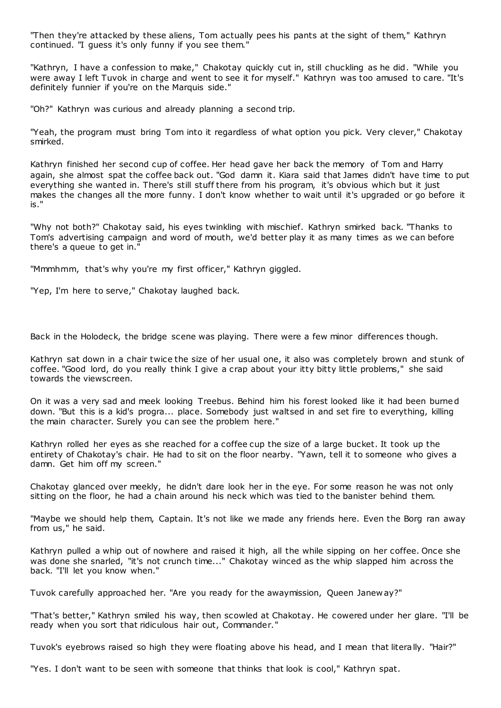"Then they're attacked by these aliens, Tom actually pees his pants at the sight of them," Kathryn continued. "I guess it's only funny if you see them."

"Kathryn, I have a confession to make," Chakotay quickly cut in, still chuckling as he did. "While you were away I left Tuvok in charge and went to see it for myself." Kathryn was too amused to care. "It's definitely funnier if you're on the Marquis side."

"Oh?" Kathryn was curious and already planning a second trip.

"Yeah, the program must bring Tom into it regardless of what option you pick. Very clever," Chakotay smirked.

Kathryn finished her second cup of coffee. Her head gave her back the memory of Tom and Harry again, she almost spat the coffee back out. "God damn it. Kiara said that James didn't have time to put everything she wanted in. There's still stuff there from his program, it's obvious which but it just makes the changes all the more funny. I don't know whether to wait until it's upgraded or go before it is."

"Why not both?" Chakotay said, his eyes twinkling with mischief. Kathryn smirked back. "Thanks to Tom's advertising campaign and word of mouth, we'd better play it as many times as we can before there's a queue to get in."

"Mmmhmm, that's why you're my first officer," Kathryn giggled.

"Yep, I'm here to serve," Chakotay laughed back.

Back in the Holodeck, the bridge scene was playing. There were a few minor differences though.

Kathryn sat down in a chair twice the size of her usual one, it also was completely brown and stunk of coffee. "Good lord, do you really think I give a crap about your itty bitty little problems," she said towards the viewscreen.

On it was a very sad and meek looking Treebus. Behind him his forest looked like it had been burned down. "But this is a kid's progra... place. Somebody just waltsed in and set fire to everything, killing the main character. Surely you can see the problem here."

Kathryn rolled her eyes as she reached for a coffee cup the size of a large bucket. It took up the entirety of Chakotay's chair. He had to sit on the floor nearby. "Yawn, tell it to someone who gives a damn. Get him off my screen."

Chakotay glanced over meekly, he didn't dare look her in the eye. For some reason he was not only sitting on the floor, he had a chain around his neck which was tied to the banister behind them.

"Maybe we should help them, Captain. It's not like we made any friends here. Even the Borg ran away from us," he said.

Kathryn pulled a whip out of nowhere and raised it high, all the while sipping on her coffee. Once she was done she snarled, "it's not crunch time..." Chakotay winced as the whip slapped him across the back. "I'll let you know when."

Tuvok carefully approached her. "Are you ready for the awaymission, Queen Janew ay?"

"That's better," Kathryn smiled his way, then scowled at Chakotay. He cowered under her glare. "I'll be ready when you sort that ridiculous hair out, Commander."

Tuvok's eyebrows raised so high they were floating above his head, and I mean that literally. "Hair?"

"Yes. I don't want to be seen with someone that thinks that look is cool," Kathryn spat.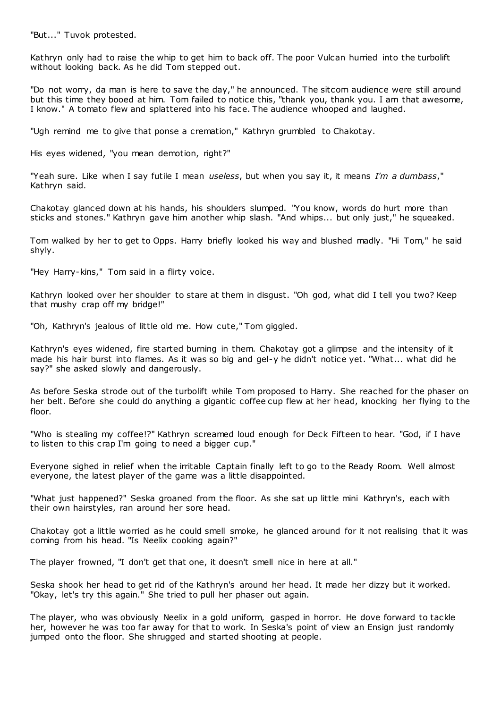"But..." Tuvok protested.

Kathryn only had to raise the whip to get him to back off. The poor Vulcan hurried into the turbolift without looking back. As he did Tom stepped out.

"Do not worry, da man is here to save the day," he announced. The sitcom audience were still around but this time they booed at him. Tom failed to notice this, "thank you, thank you. I am that awesome, I know." A tomato flew and splattered into his face. The audience whooped and laughed.

"Ugh remind me to give that ponse a cremation," Kathryn grumbled to Chakotay.

His eyes widened, "you mean demotion, right?"

"Yeah sure. Like when I say futile I mean *useless*, but when you say it, it means *I'm a dumbass*," Kathryn said.

Chakotay glanced down at his hands, his shoulders slumped. "You know, words do hurt more than sticks and stones." Kathryn gave him another whip slash. "And whips... but only just," he squeaked.

Tom walked by her to get to Opps. Harry briefly looked his way and blushed madly. "Hi Tom," he said shyly.

"Hey Harry-kins," Tom said in a flirty voice.

Kathryn looked over her shoulder to stare at them in disgust. "Oh god, what did I tell you two? Keep that mushy crap off my bridge!"

"Oh, Kathryn's jealous of little old me. How cute," Tom giggled.

Kathryn's eyes widened, fire started burning in them. Chakotay got a glimpse and the intensity of it made his hair burst into flames. As it was so big and gel-y he didn't notice yet. "What... what did he say?" she asked slowly and dangerously.

As before Seska strode out of the turbolift while Tom proposed to Harry. She reached for the phaser on her belt. Before she could do anything a gigantic coffee cup flew at her head, knocking her flying to the floor.

"Who is stealing my coffee!?" Kathryn screamed loud enough for Deck Fifteen to hear. "God, if I have to listen to this crap I'm going to need a bigger cup."

Everyone sighed in relief when the irritable Captain finally left to go to the Ready Room. Well almost everyone, the latest player of the game was a little disappointed.

"What just happened?" Seska groaned from the floor. As she sat up little mini Kathryn's, each with their own hairstyles, ran around her sore head.

Chakotay got a little worried as he could smell smoke, he glanced around for it not realising that it was coming from his head. "Is Neelix cooking again?"

The player frowned, "I don't get that one, it doesn't smell nice in here at all."

Seska shook her head to get rid of the Kathryn's around her head. It made her dizzy but it worked. "Okay, let's try this again." She tried to pull her phaser out again.

The player, who was obviously Neelix in a gold uniform, gasped in horror. He dove forward to tackle her, however he was too far away for that to work. In Seska's point of view an Ensign just randomly jumped onto the floor. She shrugged and started shooting at people.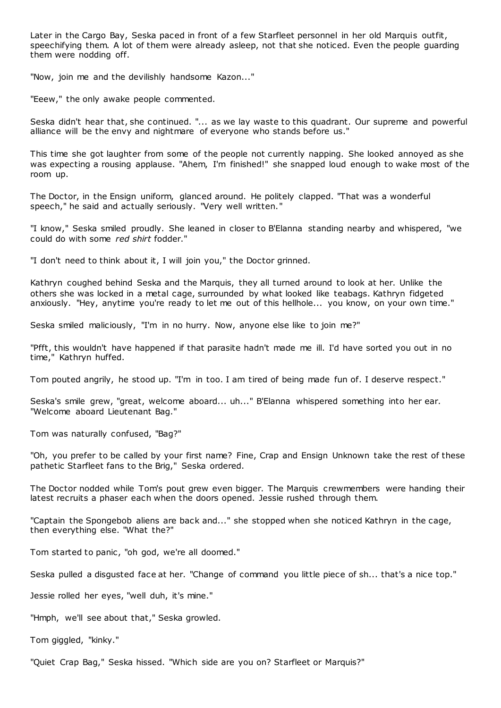Later in the Cargo Bay, Seska paced in front of a few Starfleet personnel in her old Marquis outfit, speechifying them. A lot of them were already asleep, not that she noticed. Even the people guarding them were nodding off.

"Now, join me and the devilishly handsome Kazon..."

"Eeew," the only awake people commented.

Seska didn't hear that, she continued. "... as we lay waste to this quadrant. Our supreme and powerful alliance will be the envy and nightmare of everyone who stands before us."

This time she got laughter from some of the people not currently napping. She looked annoyed as she was expecting a rousing applause. "Ahem, I'm finished!" she snapped loud enough to wake most of the room up.

The Doctor, in the Ensign uniform, glanced around. He politely clapped. "That was a wonderful speech," he said and actually seriously. "Very well written."

"I know," Seska smiled proudly. She leaned in closer to B'Elanna standing nearby and whispered, "we could do with some *red shirt* fodder."

"I don't need to think about it, I will join you," the Doctor grinned.

Kathryn coughed behind Seska and the Marquis, they all turned around to look at her. Unlike the others she was locked in a metal cage, surrounded by what looked like teabags. Kathryn fidgeted anxiously. "Hey, anytime you're ready to let me out of this hellhole... you know, on your own time."

Seska smiled maliciously, "I'm in no hurry. Now, anyone else like to join me?"

"Pfft, this wouldn't have happened if that parasite hadn't made me ill. I'd have sorted you out in no time," Kathryn huffed.

Tom pouted angrily, he stood up. "I'm in too. I am tired of being made fun of. I deserve respect."

Seska's smile grew, "great, welcome aboard... uh..." B'Elanna whispered something into her ear. "Welcome aboard Lieutenant Bag."

Tom was naturally confused, "Bag?"

"Oh, you prefer to be called by your first name? Fine, Crap and Ensign Unknown take the rest of these pathetic Starfleet fans to the Brig," Seska ordered.

The Doctor nodded while Tom's pout grew even bigger. The Marquis crewmembers were handing their latest recruits a phaser each when the doors opened. Jessie rushed through them.

"Captain the Spongebob aliens are back and..." she stopped when she noticed Kathryn in the cage, then everything else. "What the?"

Tom started to panic, "oh god, we're all doomed."

Seska pulled a disgusted face at her. "Change of command you little piece of sh... that's a nice top."

Jessie rolled her eyes, "well duh, it's mine."

"Hmph, we'll see about that," Seska growled.

Tom giggled, "kinky."

"Quiet Crap Bag," Seska hissed. "Which side are you on? Starfleet or Marquis?"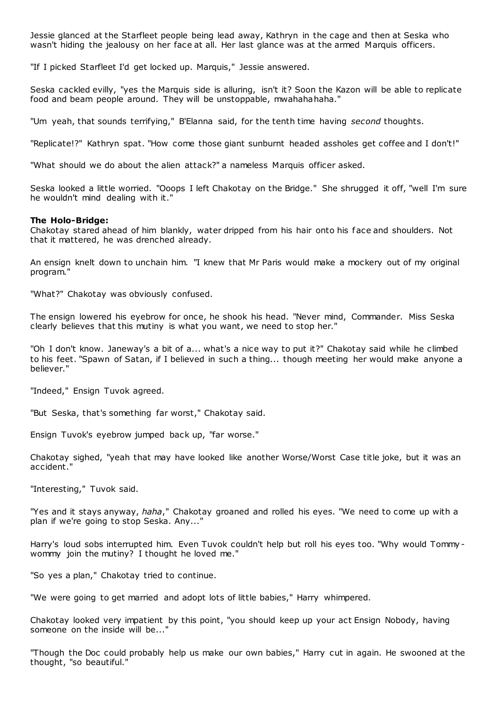Jessie glanced at the Starfleet people being lead away, Kathryn in the cage and then at Seska who wasn't hiding the jealousy on her face at all. Her last glance was at the armed Marquis officers.

"If I picked Starfleet I'd get locked up. Marquis," Jessie answered.

Seska cackled evilly, "yes the Marquis side is alluring, isn't it? Soon the Kazon will be able to replicate food and beam people around. They will be unstoppable, mwahahahaha."

"Um yeah, that sounds terrifying," B'Elanna said, for the tenth time having *second* thoughts.

"Replicate!?" Kathryn spat. "How come those giant sunburnt headed assholes get coffee and I don't!"

"What should we do about the alien attack?" a nameless Marquis officer asked.

Seska looked a little worried. "Ooops I left Chakotay on the Bridge." She shrugged it off, "well I'm sure he wouldn't mind dealing with it."

#### **The Holo-Bridge:**

Chakotay stared ahead of him blankly, water dripped from his hair onto his face and shoulders. Not that it mattered, he was drenched already.

An ensign knelt down to unchain him. "I knew that Mr Paris would make a mockery out of my original program."

"What?" Chakotay was obviously confused.

The ensign lowered his eyebrow for once, he shook his head. "Never mind, Commander. Miss Seska clearly believes that this mutiny is what you want, we need to stop her."

"Oh I don't know. Janeway's a bit of a... what's a nice way to put it?" Chakotay said while he climbed to his feet. "Spawn of Satan, if I believed in such a thing... though meeting her would make anyone a believer."

"Indeed," Ensign Tuvok agreed.

"But Seska, that's something far worst," Chakotay said.

Ensign Tuvok's eyebrow jumped back up, "far worse."

Chakotay sighed, "yeah that may have looked like another Worse/Worst Case title joke, but it was an accident."

"Interesting," Tuvok said.

"Yes and it stays anyway, *haha*," Chakotay groaned and rolled his eyes. "We need to come up with a plan if we're going to stop Seska. Any..."

Harry's loud sobs interrupted him. Even Tuvok couldn't help but roll his eyes too. "Why would Tommywommy join the mutiny? I thought he loved me."

"So yes a plan," Chakotay tried to continue.

"We were going to get married and adopt lots of little babies," Harry whimpered.

Chakotay looked very impatient by this point, "you should keep up your act Ensign Nobody, having someone on the inside will be..."

"Though the Doc could probably help us make our own babies," Harry cut in again. He swooned at the thought, "so beautiful."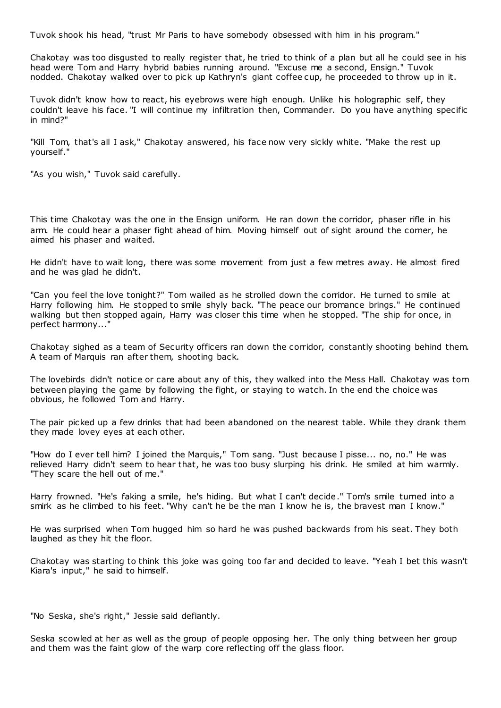Tuvok shook his head, "trust Mr Paris to have somebody obsessed with him in his program."

Chakotay was too disgusted to really register that, he tried to think of a plan but all he could see in his head were Tom and Harry hybrid babies running around. "Excuse me a second, Ensign." Tuvok nodded. Chakotay walked over to pick up Kathryn's giant coffee cup, he proceeded to throw up in it.

Tuvok didn't know how to react, his eyebrows were high enough. Unlike his holographic self, they couldn't leave his face. "I will continue my infiltration then, Commander. Do you have anything specific in mind?"

"Kill Tom, that's all I ask," Chakotay answered, his face now very sickly white. "Make the rest up yourself."

"As you wish," Tuvok said carefully.

This time Chakotay was the one in the Ensign uniform. He ran down the corridor, phaser rifle in his arm. He could hear a phaser fight ahead of him. Moving himself out of sight around the corner, he aimed his phaser and waited.

He didn't have to wait long, there was some movement from just a few metres away. He almost fired and he was glad he didn't.

"Can you feel the love tonight?" Tom wailed as he strolled down the corridor. He turned to smile at Harry following him. He stopped to smile shyly back. "The peace our bromance brings." He continued walking but then stopped again, Harry was closer this time when he stopped. "The ship for once, in perfect harmony..."

Chakotay sighed as a team of Security officers ran down the corridor, constantly shooting behind them. A team of Marquis ran after them, shooting back.

The lovebirds didn't notice or care about any of this, they walked into the Mess Hall. Chakotay was torn between playing the game by following the fight, or staying to watch. In the end the choice was obvious, he followed Tom and Harry.

The pair picked up a few drinks that had been abandoned on the nearest table. While they drank them they made lovey eyes at each other.

"How do I ever tell him? I joined the Marquis," Tom sang. "Just because I pisse... no, no." He was relieved Harry didn't seem to hear that, he was too busy slurping his drink. He smiled at him warmly. "They scare the hell out of me."

Harry frowned. "He's faking a smile, he's hiding. But what I can't decide." Tom's smile turned into a smirk as he climbed to his feet. "Why can't he be the man I know he is, the bravest man I know."

He was surprised when Tom hugged him so hard he was pushed backwards from his seat. They both laughed as they hit the floor.

Chakotay was starting to think this joke was going too far and decided to leave. "Yeah I bet this wasn't Kiara's input," he said to himself.

"No Seska, she's right," Jessie said defiantly.

Seska scowled at her as well as the group of people opposing her. The only thing between her group and them was the faint glow of the warp core reflecting off the glass floor.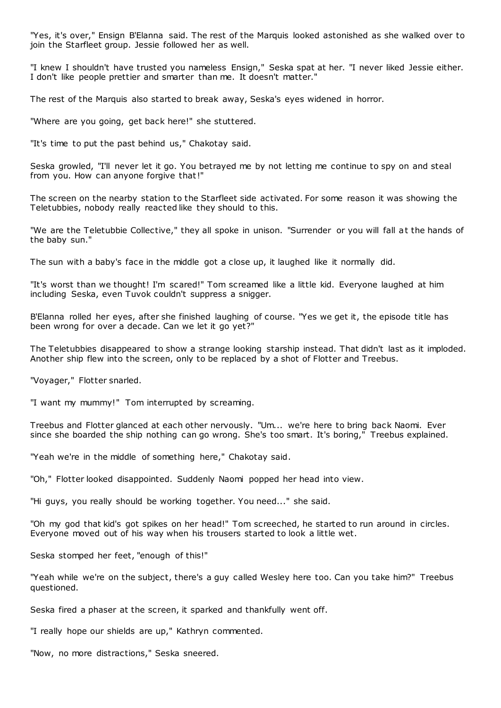"Yes, it's over," Ensign B'Elanna said. The rest of the Marquis looked astonished as she walked over to join the Starfleet group. Jessie followed her as well.

"I knew I shouldn't have trusted you nameless Ensign," Seska spat at her. "I never liked Jessie either. I don't like people prettier and smarter than me. It doesn't matter."

The rest of the Marquis also started to break away, Seska's eyes widened in horror.

"Where are you going, get back here!" she stuttered.

"It's time to put the past behind us," Chakotay said.

Seska growled, "I'll never let it go. You betrayed me by not letting me continue to spy on and steal from you. How can anyone forgive that!"

The screen on the nearby station to the Starfleet side activated. For some reason it was showing the Teletubbies, nobody really reacted like they should to this.

"We are the Teletubbie Collective," they all spoke in unison. "Surrender or you will fall at the hands of the baby sun."

The sun with a baby's face in the middle got a close up, it laughed like it normally did.

"It's worst than we thought! I'm scared!" Tom screamed like a little kid. Everyone laughed at him including Seska, even Tuvok couldn't suppress a snigger.

B'Elanna rolled her eyes, after she finished laughing of course. "Yes we get it, the episode title has been wrong for over a decade. Can we let it go yet?"

The Teletubbies disappeared to show a strange looking starship instead. That didn't last as it imploded. Another ship flew into the screen, only to be replaced by a shot of Flotter and Treebus.

"Voyager," Flotter snarled.

"I want my mummy!" Tom interrupted by screaming.

Treebus and Flotter glanced at each other nervously. "Um... we're here to bring back Naomi. Ever since she boarded the ship nothing can go wrong. She's too smart. It's boring," Treebus explained.

"Yeah we're in the middle of something here," Chakotay said.

"Oh," Flotter looked disappointed. Suddenly Naomi popped her head into view.

"Hi guys, you really should be working together. You need..." she said.

"Oh my god that kid's got spikes on her head!" Tom screeched, he started to run around in circles. Everyone moved out of his way when his trousers started to look a little wet.

Seska stomped her feet, "enough of this!"

"Yeah while we're on the subject, there's a guy called Wesley here too. Can you take him?" Treebus questioned.

Seska fired a phaser at the screen, it sparked and thankfully went off.

"I really hope our shields are up," Kathryn commented.

"Now, no more distractions," Seska sneered.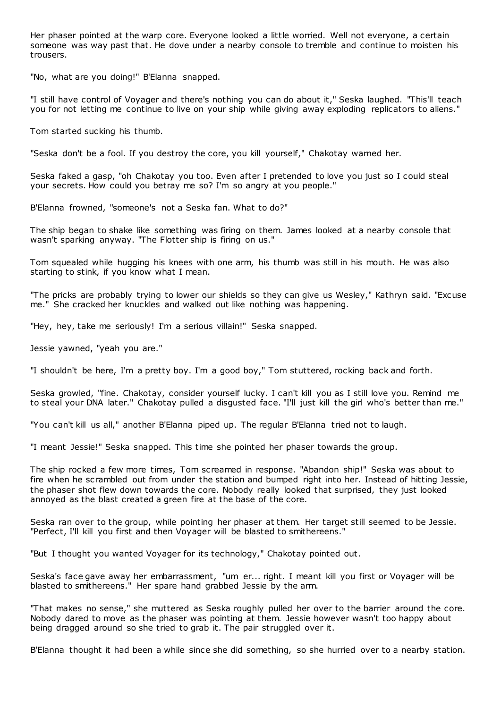Her phaser pointed at the warp core. Everyone looked a little worried. Well not everyone, a certain someone was way past that. He dove under a nearby console to tremble and continue to moisten his trousers.

"No, what are you doing!" B'Elanna snapped.

"I still have control of Voyager and there's nothing you can do about it," Seska laughed. "This'll teach you for not letting me continue to live on your ship while giving away exploding replicators to aliens."

Tom started sucking his thumb.

"Seska don't be a fool. If you destroy the core, you kill yourself," Chakotay warned her.

Seska faked a gasp, "oh Chakotay you too. Even after I pretended to love you just so I could steal your secrets. How could you betray me so? I'm so angry at you people."

B'Elanna frowned, "someone's not a Seska fan. What to do?"

The ship began to shake like something was firing on them. James looked at a nearby console that wasn't sparking anyway. "The Flotter ship is firing on us."

Tom squealed while hugging his knees with one arm, his thumb was still in his mouth. He was also starting to stink, if you know what I mean.

"The pricks are probably trying to lower our shields so they can give us Wesley," Kathryn said. "Excuse me." She cracked her knuckles and walked out like nothing was happening.

"Hey, hey, take me seriously! I'm a serious villain!" Seska snapped.

Jessie yawned, "yeah you are."

"I shouldn't be here, I'm a pretty boy. I'm a good boy," Tom stuttered, rocking back and forth.

Seska growled, "fine. Chakotay, consider yourself lucky. I can't kill you as I still love you. Remind me to steal your DNA later." Chakotay pulled a disgusted face. "I'll just kill the girl who's better than me."

"You can't kill us all," another B'Elanna piped up. The regular B'Elanna tried not to laugh.

"I meant Jessie!" Seska snapped. This time she pointed her phaser towards the group.

The ship rocked a few more times, Tom screamed in response. "Abandon ship!" Seska was about to fire when he scrambled out from under the station and bumped right into her. Instead of hitting Jessie, the phaser shot flew down towards the core. Nobody really looked that surprised, they just looked annoyed as the blast created a green fire at the base of the core.

Seska ran over to the group, while pointing her phaser at them. Her target still seemed to be Jessie. "Perfect, I'll kill you first and then Voyager will be blasted to smithereens."

"But I thought you wanted Voyager for its technology," Chakotay pointed out.

Seska's face gave away her embarrassment, "um er... right. I meant kill you first or Voyager will be blasted to smithereens." Her spare hand grabbed Jessie by the arm.

"That makes no sense," she muttered as Seska roughly pulled her over to the barrier around the core. Nobody dared to move as the phaser was pointing at them. Jessie however wasn't too happy about being dragged around so she tried to grab it. The pair struggled over it.

B'Elanna thought it had been a while since she did something, so she hurried over to a nearby station.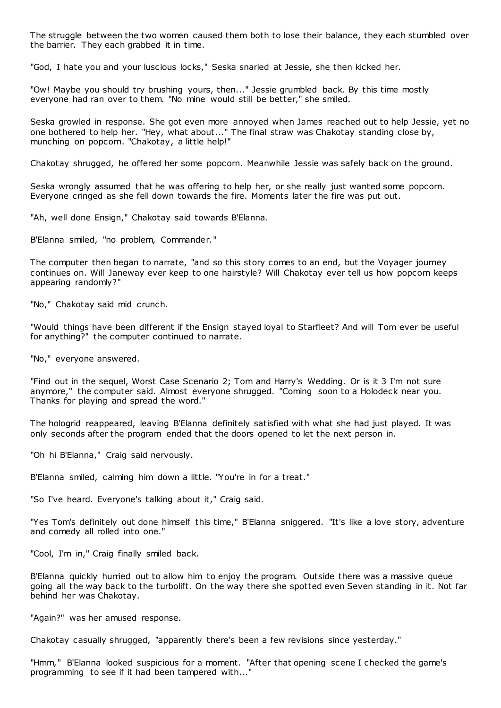The struggle between the two women caused them both to lose their balance, they each stumbled over the barrier. They each grabbed it in time.

"God, I hate you and your luscious locks," Seska snarled at Jessie, she then kicked her.

"Ow! Maybe you should try brushing yours, then..." Jessie grumbled back. By this time mostly everyone had ran over to them. "No mine would still be better," she smiled.

Seska growled in response. She got even more annoyed when James reached out to help Jessie, yet no one bothered to help her. "Hey, what about..." The final straw was Chakotay standing close by, munching on popcorn. "Chakotay, a little help!"

Chakotay shrugged, he offered her some popcorn. Meanwhile Jessie was safely back on the ground.

Seska wrongly assumed that he was offering to help her, or she really just wanted some popcorn. Everyone cringed as she fell down towards the fire. Moments later the fire was put out.

"Ah, well done Ensign," Chakotay said towards B'Elanna.

B'Elanna smiled, "no problem, Commander."

The computer then began to narrate, "and so this story comes to an end, but the Voyager journey continues on. Will Janeway ever keep to one hairstyle? Will Chakotay ever tell us how popcorn keeps appearing randomly?"

"No," Chakotay said mid crunch.

"Would things have been different if the Ensign stayed loyal to Starfleet? And will Tom ever be useful for anything?" the computer continued to narrate.

"No," everyone answered.

"Find out in the sequel, Worst Case Scenario 2; Tom and Harry's Wedding. Or is it 3 I'm not sure anymore," the computer said. Almost everyone shrugged. "Coming soon to a Holodeck near you. Thanks for playing and spread the word."

The hologrid reappeared, leaving B'Elanna definitely satisfied with what she had just played. It was only seconds after the program ended that the doors opened to let the next person in.

"Oh hi B'Elanna," Craig said nervously.

B'Elanna smiled, calming him down a little. "You're in for a treat."

"So I've heard. Everyone's talking about it," Craig said.

"Yes Tom's definitely out done himself this time," B'Elanna sniggered. "It's like a love story, adventure and comedy all rolled into one."

"Cool, I'm in," Craig finally smiled back.

B'Elanna quickly hurried out to allow him to enjoy the program. Outside there was a massive queue going all the way back to the turbolift. On the way there she spotted even Seven standing in it. Not far behind her was Chakotay.

"Again?" was her amused response.

Chakotay casually shrugged, "apparently there's been a few revisions since yesterday."

"Hmm," B'Elanna looked suspicious for a moment. "After that opening scene I checked the game's programming to see if it had been tampered with..."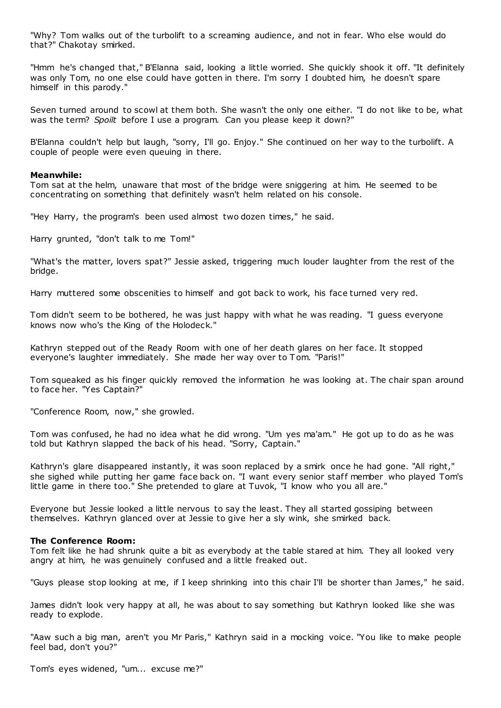"Why? Tom walks out of the turbolift to a screaming audience, and not in fear. Who else would do that?" Chakotay smirked.

"Hmm he's changed that," B'Elanna said, looking a little worried. She quickly shook it off. "It definitely was only Tom, no one else could have gotten in there. I'm sorry I doubted him, he doesn't spare himself in this parody."

Seven turned around to scowl at them both. She wasn't the only one either. "I do not like to be, what was the term? *Spoilt* before I use a program. Can you please keep it down?"

B'Elanna couldn't help but laugh, "sorry, I'll go. Enjoy." She continued on her way to the turbolift. A couple of people were even queuing in there.

#### **Meanwhile:**

Tom sat at the helm, unaware that most of the bridge were sniggering at him. He seemed to be concentrating on something that definitely wasn't helm related on his console.

"Hey Harry, the program's been used almost two dozen times," he said.

Harry grunted, "don't talk to me Tom!"

"What's the matter, lovers spat?" Jessie asked, triggering much louder laughter from the rest of the bridge.

Harry muttered some obscenities to himself and got back to work, his face turned very red.

Tom didn't seem to be bothered, he was just happy with what he was reading. "I guess everyone knows now who's the King of the Holodeck."

Kathryn stepped out of the Ready Room with one of her death glares on her face. It stopped everyone's laughter immediately. She made her way over to Tom. "Paris!"

Tom squeaked as his finger quickly removed the information he was looking at. The chair span around to face her. "Yes Captain?"

"Conference Room, now," she growled.

Tom was confused, he had no idea what he did wrong. "Um yes ma'am." He got up to do as he was told but Kathryn slapped the back of his head. "Sorry, Captain."

Kathryn's glare disappeared instantly, it was soon replaced by a smirk once he had gone. "All right," she sighed while putting her game face back on. "I want every senior staff member who played Tom's little game in there too." She pretended to glare at Tuvok, "I know who you all are."

Everyone but Jessie looked a little nervous to say the least. They all started gossiping between themselves. Kathryn glanced over at Jessie to give her a sly wink, she smirked back.

#### **The Conference Room:**

Tom felt like he had shrunk quite a bit as everybody at the table stared at him. They all looked very angry at him, he was genuinely confused and a little freaked out.

"Guys please stop looking at me, if I keep shrinking into this chair I'll be shorter than James," he said.

James didn't look very happy at all, he was about to say something but Kathryn looked like she was ready to explode.

"Aaw such a big man, aren't you Mr Paris," Kathryn said in a mocking voice. "You like to make people feel bad, don't you?"

Tom's eyes widened, "um... excuse me?"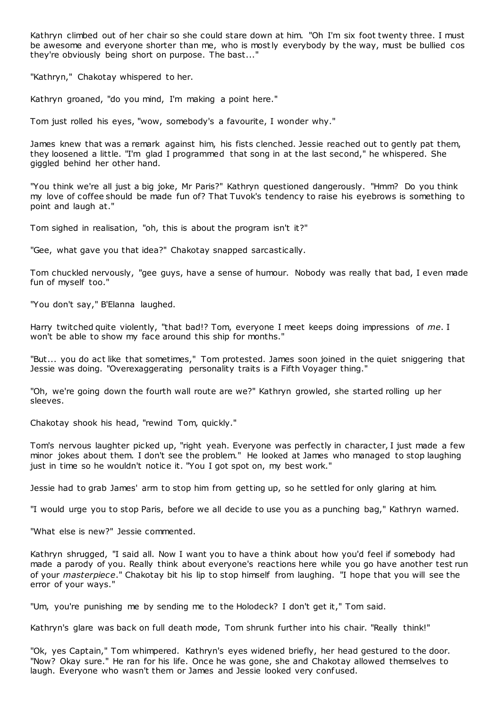Kathryn climbed out of her chair so she could stare down at him. "Oh I'm six foot twenty three. I must be awesome and everyone shorter than me, who is mostly everybody by the way, must be bullied cos they're obviously being short on purpose. The bast..."

"Kathryn," Chakotay whispered to her.

Kathryn groaned, "do you mind, I'm making a point here."

Tom just rolled his eyes, "wow, somebody's a favourite, I wonder why."

James knew that was a remark against him, his fists clenched. Jessie reached out to gently pat them, they loosened a little. "I'm glad I programmed that song in at the last second," he whispered. She giggled behind her other hand.

"You think we're all just a big joke, Mr Paris?" Kathryn questioned dangerously. "Hmm? Do you think my love of coffee should be made fun of? That Tuvok's tendency to raise his eyebrows is something to point and laugh at."

Tom sighed in realisation, "oh, this is about the program isn't it?"

"Gee, what gave you that idea?" Chakotay snapped sarcastically.

Tom chuckled nervously, "gee guys, have a sense of humour. Nobody was really that bad, I even made fun of myself too."

"You don't say," B'Elanna laughed.

Harry twitched quite violently, "that bad!? Tom, everyone I meet keeps doing impressions of *me*. I won't be able to show my face around this ship for months."

"But... you do act like that sometimes," Tom protested. James soon joined in the quiet sniggering that Jessie was doing. "Overexaggerating personality traits is a Fifth Voyager thing."

"Oh, we're going down the fourth wall route are we?" Kathryn growled, she started rolling up her sleeves.

Chakotay shook his head, "rewind Tom, quickly."

Tom's nervous laughter picked up, "right yeah. Everyone was perfectly in character, I just made a few minor jokes about them. I don't see the problem." He looked at James who managed to stop laughing just in time so he wouldn't notice it. "You I got spot on, my best work."

Jessie had to grab James' arm to stop him from getting up, so he settled for only glaring at him.

"I would urge you to stop Paris, before we all decide to use you as a punching bag," Kathryn warned.

"What else is new?" Jessie commented.

Kathryn shrugged, "I said all. Now I want you to have a think about how you'd feel if somebody had made a parody of you. Really think about everyone's reactions here while you go have another test run of your *masterpiece*." Chakotay bit his lip to stop himself from laughing. "I hope that you will see the error of your ways."

"Um, you're punishing me by sending me to the Holodeck? I don't get it," Tom said.

Kathryn's glare was back on full death mode, Tom shrunk further into his chair. "Really think!"

"Ok, yes Captain," Tom whimpered. Kathryn's eyes widened briefly, her head gestured to the door. "Now? Okay sure." He ran for his life. Once he was gone, she and Chakotay allowed themselves to laugh. Everyone who wasn't them or James and Jessie looked very confused.